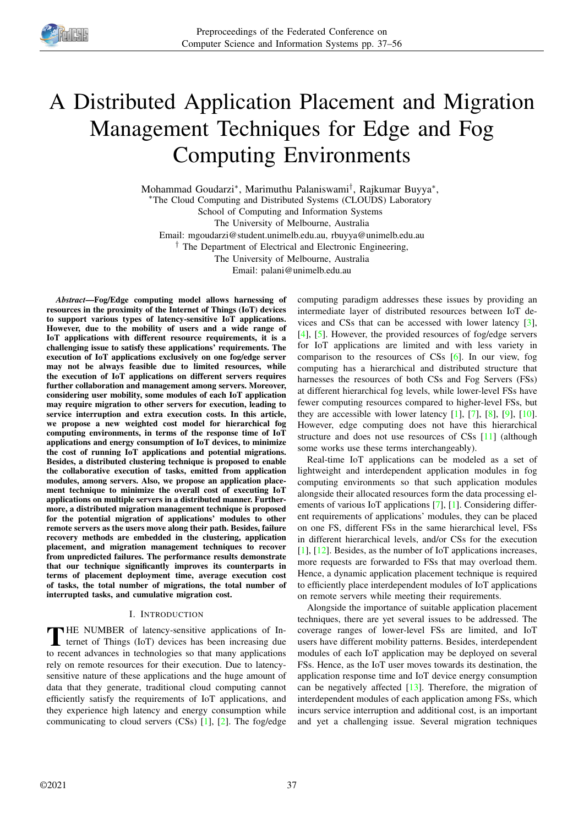

# A Distributed Application Placement and Migration Management Techniques for Edge and Fog Computing Environments

Mohammad Goudarzi<sup>∗</sup> , Marimuthu Palaniswami† , Rajkumar Buyya<sup>∗</sup> , <sup>∗</sup>The Cloud Computing and Distributed Systems (CLOUDS) Laboratory School of Computing and Information Systems The University of Melbourne, Australia Email: mgoudarzi@student.unimelb.edu.au, rbuyya@unimelb.edu.au <sup>†</sup> The Department of Electrical and Electronic Engineering, The University of Melbourne, Australia

Email: palani@unimelb.edu.au

*Abstract*—Fog/Edge computing model allows harnessing of resources in the proximity of the Internet of Things (IoT) devices to support various types of latency-sensitive IoT applications. However, due to the mobility of users and a wide range of IoT applications with different resource requirements, it is a challenging issue to satisfy these applications' requirements. The execution of IoT applications exclusively on one fog/edge server may not be always feasible due to limited resources, while the execution of IoT applications on different servers requires further collaboration and management among servers. Moreover, considering user mobility, some modules of each IoT application may require migration to other servers for execution, leading to service interruption and extra execution costs. In this article, we propose a new weighted cost model for hierarchical fog computing environments, in terms of the response time of IoT applications and energy consumption of IoT devices, to minimize the cost of running IoT applications and potential migrations. Besides, a distributed clustering technique is proposed to enable the collaborative execution of tasks, emitted from application modules, among servers. Also, we propose an application placement technique to minimize the overall cost of executing IoT applications on multiple servers in a distributed manner. Furthermore, a distributed migration management technique is proposed for the potential migration of applications' modules to other remote servers as the users move along their path. Besides, failure recovery methods are embedded in the clustering, application placement, and migration management techniques to recover from unpredicted failures. The performance results demonstrate that our technique significantly improves its counterparts in terms of placement deployment time, average execution cost of tasks, the total number of migrations, the total number of interrupted tasks, and cumulative migration cost.

## I. INTRODUCTION

THE NUMBER of latency-sensitive applications of Internet of Things (IoT) devices has been increasing due **THE NUMBER** of latency-sensitive applications of Into recent advances in technologies so that many applications rely on remote resources for their execution. Due to latencysensitive nature of these applications and the huge amount of data that they generate, traditional cloud computing cannot efficiently satisfy the requirements of IoT applications, and they experience high latency and energy consumption while communicating to cloud servers (CSs) [1], [2]. The fog/edge

computing paradigm addresses these issues by providing an intermediate layer of distributed resources between IoT devices and CSs that can be accessed with lower latency [3], [4], [5]. However, the provided resources of fog/edge servers for IoT applications are limited and with less variety in comparison to the resources of CSs [6]. In our view, fog computing has a hierarchical and distributed structure that harnesses the resources of both CSs and Fog Servers (FSs) at different hierarchical fog levels, while lower-level FSs have fewer computing resources compared to higher-level FSs, but they are accessible with lower latency  $[1]$ ,  $[7]$ ,  $[8]$ ,  $[9]$ ,  $[10]$ . However, edge computing does not have this hierarchical structure and does not use resources of CSs [11] (although some works use these terms interchangeably).

Real-time IoT applications can be modeled as a set of lightweight and interdependent application modules in fog computing environments so that such application modules alongside their allocated resources form the data processing elements of various IoT applications [7], [1]. Considering different requirements of applications' modules, they can be placed on one FS, different FSs in the same hierarchical level, FSs in different hierarchical levels, and/or CSs for the execution [1], [12]. Besides, as the number of IoT applications increases, more requests are forwarded to FSs that may overload them. Hence, a dynamic application placement technique is required to efficiently place interdependent modules of IoT applications on remote servers while meeting their requirements.

Alongside the importance of suitable application placement techniques, there are yet several issues to be addressed. The coverage ranges of lower-level FSs are limited, and IoT users have different mobility patterns. Besides, interdependent modules of each IoT application may be deployed on several FSs. Hence, as the IoT user moves towards its destination, the application response time and IoT device energy consumption can be negatively affected  $[13]$ . Therefore, the migration of interdependent modules of each application among FSs, which incurs service interruption and additional cost, is an important and yet a challenging issue. Several migration techniques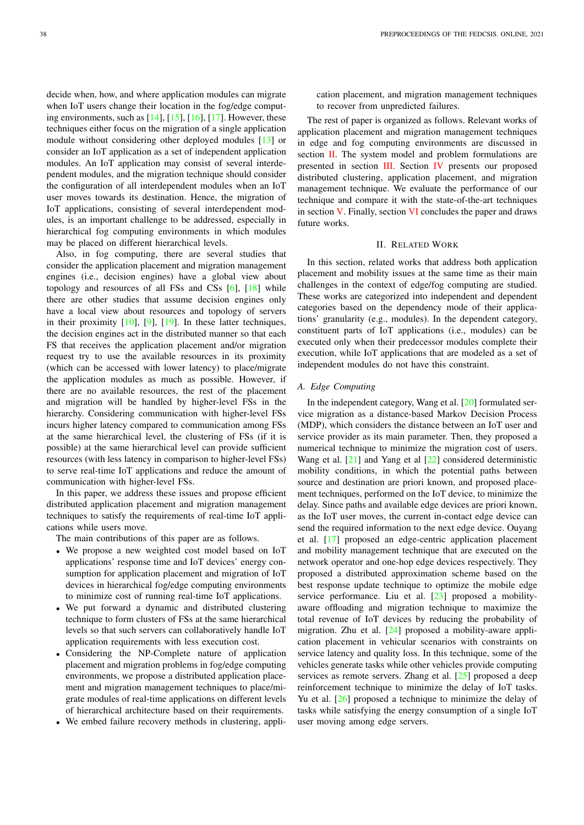decide when, how, and where application modules can migrate when IoT users change their location in the fog/edge computing environments, such as  $[14]$ ,  $[15]$ ,  $[16]$ ,  $[17]$ . However, these techniques either focus on the migration of a single application module without considering other deployed modules [13] or consider an IoT application as a set of independent application modules. An IoT application may consist of several interdependent modules, and the migration technique should consider the configuration of all interdependent modules when an IoT user moves towards its destination. Hence, the migration of IoT applications, consisting of several interdependent modules, is an important challenge to be addressed, especially in hierarchical fog computing environments in which modules may be placed on different hierarchical levels.

Also, in fog computing, there are several studies that consider the application placement and migration management engines (i.e., decision engines) have a global view about topology and resources of all FSs and CSs [6], [18] while there are other studies that assume decision engines only have a local view about resources and topology of servers in their proximity [10], [9], [19]. In these latter techniques, the decision engines act in the distributed manner so that each FS that receives the application placement and/or migration request try to use the available resources in its proximity (which can be accessed with lower latency) to place/migrate the application modules as much as possible. However, if there are no available resources, the rest of the placement and migration will be handled by higher-level FSs in the hierarchy. Considering communication with higher-level FSs incurs higher latency compared to communication among FSs at the same hierarchical level, the clustering of FSs (if it is possible) at the same hierarchical level can provide sufficient resources (with less latency in comparison to higher-level FSs) to serve real-time IoT applications and reduce the amount of communication with higher-level FSs.

In this paper, we address these issues and propose efficient distributed application placement and migration management techniques to satisfy the requirements of real-time IoT applications while users move.

The main contributions of this paper are as follows.

- We propose a new weighted cost model based on IoT applications' response time and IoT devices' energy consumption for application placement and migration of IoT devices in hierarchical fog/edge computing environments to minimize cost of running real-time IoT applications.
- We put forward a dynamic and distributed clustering technique to form clusters of FSs at the same hierarchical levels so that such servers can collaboratively handle IoT application requirements with less execution cost.
- Considering the NP-Complete nature of application placement and migration problems in fog/edge computing environments, we propose a distributed application placement and migration management techniques to place/migrate modules of real-time applications on different levels of hierarchical architecture based on their requirements.
- We embed failure recovery methods in clustering, appli-

cation placement, and migration management techniques to recover from unpredicted failures.

The rest of paper is organized as follows. Relevant works of application placement and migration management techniques in edge and fog computing environments are discussed in section II. The system model and problem formulations are presented in section III. Section IV presents our proposed distributed clustering, application placement, and migration management technique. We evaluate the performance of our technique and compare it with the state-of-the-art techniques in section V. Finally, section VI concludes the paper and draws future works.

# II. RELATED WORK

In this section, related works that address both application placement and mobility issues at the same time as their main challenges in the context of edge/fog computing are studied. These works are categorized into independent and dependent categories based on the dependency mode of their applications' granularity (e.g., modules). In the dependent category, constituent parts of IoT applications (i.e., modules) can be executed only when their predecessor modules complete their execution, while IoT applications that are modeled as a set of independent modules do not have this constraint.

## *A. Edge Computing*

In the independent category, Wang et al. [20] formulated service migration as a distance-based Markov Decision Process (MDP), which considers the distance between an IoT user and service provider as its main parameter. Then, they proposed a numerical technique to minimize the migration cost of users. Wang et al. [21] and Yang et al [22] considered deterministic mobility conditions, in which the potential paths between source and destination are priori known, and proposed placement techniques, performed on the IoT device, to minimize the delay. Since paths and available edge devices are priori known, as the IoT user moves, the current in-contact edge device can send the required information to the next edge device. Ouyang et al. [17] proposed an edge-centric application placement and mobility management technique that are executed on the network operator and one-hop edge devices respectively. They proposed a distributed approximation scheme based on the best response update technique to optimize the mobile edge service performance. Liu et al. [23] proposed a mobilityaware offloading and migration technique to maximize the total revenue of IoT devices by reducing the probability of migration. Zhu et al. [24] proposed a mobility-aware application placement in vehicular scenarios with constraints on service latency and quality loss. In this technique, some of the vehicles generate tasks while other vehicles provide computing services as remote servers. Zhang et al. [25] proposed a deep reinforcement technique to minimize the delay of IoT tasks. Yu et al. [26] proposed a technique to minimize the delay of tasks while satisfying the energy consumption of a single IoT user moving among edge servers.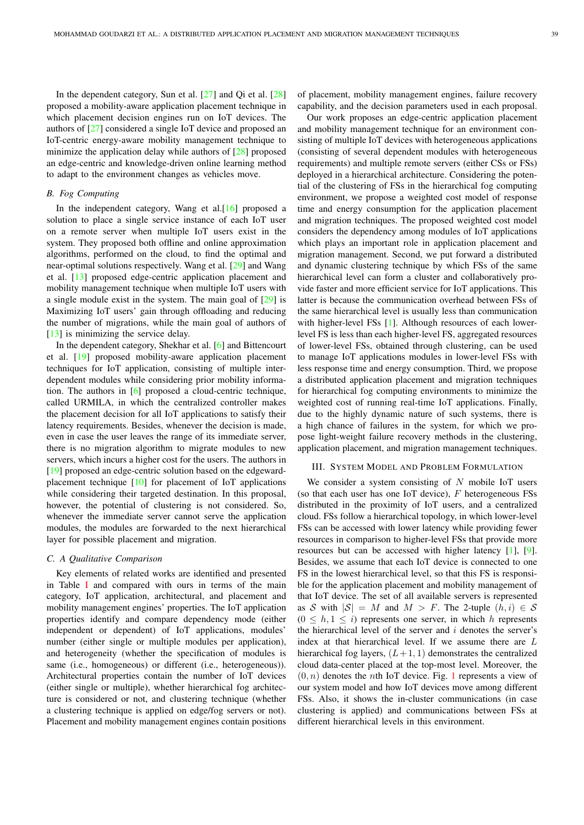In the dependent category, Sun et al.  $[27]$  and Qi et al.  $[28]$ proposed a mobility-aware application placement technique in which placement decision engines run on IoT devices. The authors of [27] considered a single IoT device and proposed an IoT-centric energy-aware mobility management technique to minimize the application delay while authors of [28] proposed an edge-centric and knowledge-driven online learning method to adapt to the environment changes as vehicles move.

## *B. Fog Computing*

In the independent category, Wang et al.[16] proposed a solution to place a single service instance of each IoT user on a remote server when multiple IoT users exist in the system. They proposed both offline and online approximation algorithms, performed on the cloud, to find the optimal and near-optimal solutions respectively. Wang et al. [29] and Wang et al. [13] proposed edge-centric application placement and mobility management technique when multiple IoT users with a single module exist in the system. The main goal of [29] is Maximizing IoT users' gain through offloading and reducing the number of migrations, while the main goal of authors of [13] is minimizing the service delay.

In the dependent category, Shekhar et al. [6] and Bittencourt et al. [19] proposed mobility-aware application placement techniques for IoT application, consisting of multiple interdependent modules while considering prior mobility information. The authors in [6] proposed a cloud-centric technique, called URMILA, in which the centralized controller makes the placement decision for all IoT applications to satisfy their latency requirements. Besides, whenever the decision is made, even in case the user leaves the range of its immediate server, there is no migration algorithm to migrate modules to new servers, which incurs a higher cost for the users. The authors in [19] proposed an edge-centric solution based on the edgewardplacement technique [10] for placement of IoT applications while considering their targeted destination. In this proposal, however, the potential of clustering is not considered. So, whenever the immediate server cannot serve the application modules, the modules are forwarded to the next hierarchical layer for possible placement and migration.

# *C. A Qualitative Comparison*

Key elements of related works are identified and presented in Table I and compared with ours in terms of the main category, IoT application, architectural, and placement and mobility management engines' properties. The IoT application properties identify and compare dependency mode (either independent or dependent) of IoT applications, modules' number (either single or multiple modules per application), and heterogeneity (whether the specification of modules is same (i.e., homogeneous) or different (i.e., heterogeneous)). Architectural properties contain the number of IoT devices (either single or multiple), whether hierarchical fog architecture is considered or not, and clustering technique (whether a clustering technique is applied on edge/fog servers or not). Placement and mobility management engines contain positions

of placement, mobility management engines, failure recovery capability, and the decision parameters used in each proposal.

Our work proposes an edge-centric application placement and mobility management technique for an environment consisting of multiple IoT devices with heterogeneous applications (consisting of several dependent modules with heterogeneous requirements) and multiple remote servers (either CSs or FSs) deployed in a hierarchical architecture. Considering the potential of the clustering of FSs in the hierarchical fog computing environment, we propose a weighted cost model of response time and energy consumption for the application placement and migration techniques. The proposed weighted cost model considers the dependency among modules of IoT applications which plays an important role in application placement and migration management. Second, we put forward a distributed and dynamic clustering technique by which FSs of the same hierarchical level can form a cluster and collaboratively provide faster and more efficient service for IoT applications. This latter is because the communication overhead between FSs of the same hierarchical level is usually less than communication with higher-level FSs [1]. Although resources of each lowerlevel FS is less than each higher-level FS, aggregated resources of lower-level FSs, obtained through clustering, can be used to manage IoT applications modules in lower-level FSs with less response time and energy consumption. Third, we propose a distributed application placement and migration techniques for hierarchical fog computing environments to minimize the weighted cost of running real-time IoT applications. Finally, due to the highly dynamic nature of such systems, there is a high chance of failures in the system, for which we propose light-weight failure recovery methods in the clustering, application placement, and migration management techniques.

# III. SYSTEM MODEL AND PROBLEM FORMULATION

We consider a system consisting of  $N$  mobile IoT users (so that each user has one IoT device),  $F$  heterogeneous  $F$ Ss distributed in the proximity of IoT users, and a centralized cloud. FSs follow a hierarchical topology, in which lower-level FSs can be accessed with lower latency while providing fewer resources in comparison to higher-level FSs that provide more resources but can be accessed with higher latency [1], [9]. Besides, we assume that each IoT device is connected to one FS in the lowest hierarchical level, so that this FS is responsible for the application placement and mobility management of that IoT device. The set of all available servers is represented as S with  $|S| = M$  and  $M > F$ . The 2-tuple  $(h, i) \in S$  $(0 \leq h, 1 \leq i)$  represents one server, in which h represents the hierarchical level of the server and  $i$  denotes the server's index at that hierarchical level. If we assume there are L hierarchical fog layers,  $(L+1, 1)$  demonstrates the centralized cloud data-center placed at the top-most level. Moreover, the  $(0, n)$  denotes the *n*th IoT device. Fig. 1 represents a view of our system model and how IoT devices move among different FSs. Also, it shows the in-cluster communications (in case clustering is applied) and communications between FSs at different hierarchical levels in this environment.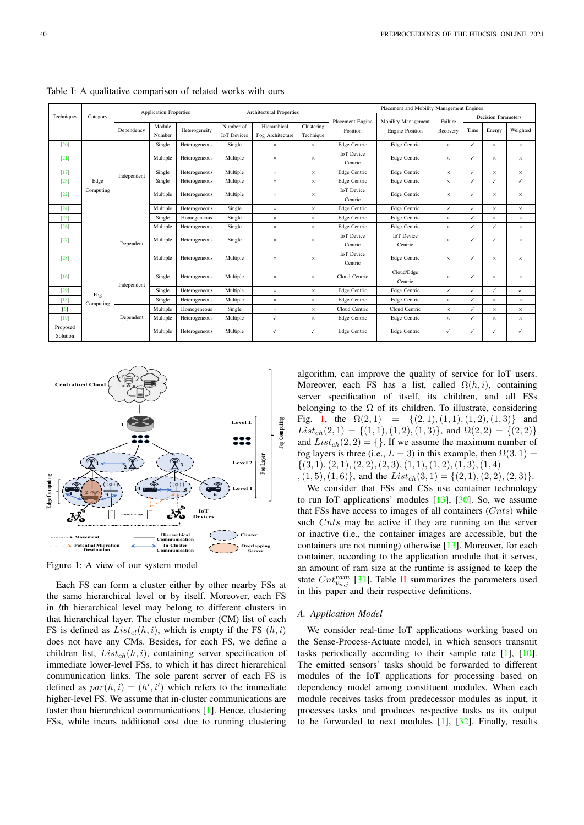|                      |           |             | <b>Application Properties</b> |               | Placement and Mobility Management Engines<br>Architectural Properties |                                         |              |                              |                              |          |              |          |          |
|----------------------|-----------|-------------|-------------------------------|---------------|-----------------------------------------------------------------------|-----------------------------------------|--------------|------------------------------|------------------------------|----------|--------------|----------|----------|
| Techniques           | Category  |             |                               |               |                                                                       | Placement Engine<br>Mobility Management |              | Failure                      | <b>Decision Parameters</b>   |          |              |          |          |
|                      |           | Dependency  | Module                        | Heterogeneity | Number of                                                             | Hierarchical                            | Clustering   | Position                     | <b>Engine Position</b>       | Recovery | Time         | Energy   | Weighted |
|                      |           |             | Number                        |               | <b>IoT</b> Devices                                                    | Fog Architecture                        | Technique    |                              |                              |          |              |          |          |
| [20]                 |           |             | Single                        | Heterogeneous | Single                                                                | $\times$                                | $\times$     | Edge Centric                 | Edge Centric                 | $\times$ | ✓            | $\times$ | $\times$ |
| $[21]$               |           |             | Multiple                      | Heterogeneous | Multiple                                                              | $\times$                                | $\times$     | <b>IoT</b> Device<br>Centric | Edge Centric                 | $\times$ | ✓            | $\times$ | $\times$ |
| $[17]$               |           | Independent | Single                        | Heterogeneous | Multiple                                                              | $\times$                                | $\times$     | Edge Centric                 | Edge Centric                 | $\times$ | ✓            | $\times$ | $\times$ |
| $[23]$               | Edge      |             | Single                        | Heterogeneous | Multiple                                                              | $\times$                                | $\times$     | Edge Centric                 | Edge Centric                 | $\times$ | ✓            | ✓        | ✓        |
| [22]                 | Computing |             | Multiple                      | Heterogeneous | Multiple                                                              | $\times$                                | $\times$     | <b>IoT</b> Device<br>Centric | Edge Centric                 | $\times$ | ✓            | X        | $\times$ |
| $[24]$               |           |             | Multiple                      | Heterogeneous | Single                                                                | $\times$                                | $\times$     | Edge Centric                 | Edge Centric                 | $\times$ | ✓            | $\times$ | $\times$ |
| [25]                 |           |             | Single                        | Homogeneous   | Single                                                                | $\times$                                | $\times$     | Edge Centric                 | Edge Centric                 | $\times$ | ✓            | $\times$ | $\times$ |
| $[26]$               |           |             | Multiple                      | Heterogeneous | Single                                                                | $\times$                                | $\times$     | Edge Centric                 | Edge Centric                 | $\times$ | ✓            | ✓        | $\times$ |
| $[27]$               |           | Dependent   | Multiple                      | Heterogeneous | Single                                                                | $\times$                                | $\times$     | <b>IoT</b> Device<br>Centric | <b>IoT</b> Device<br>Centric | $\times$ | $\checkmark$ | ✓        | $\times$ |
| $[28]$               |           |             | Multiple                      | Heterogeneous | Multiple                                                              | $\times$                                | $\times$     | <b>IoT</b> Device<br>Centric | Edge Centric                 | $\times$ | ✓            | $\times$ | $\times$ |
| [16]                 |           | Independent | Single                        | Heterogeneous | Multiple                                                              | $\times$                                | $\times$     | Cloud Centric                | Cloud/Edge<br>Centric        | $\times$ | ✓            | $\times$ | $\times$ |
| $[29]$               | Fog       |             | Single                        | Heterogeneous | Multiple                                                              | $\times$                                | $\times$     | Edge Centric                 | Edge Centric                 | $\times$ | ✓            | ✓        | ✓        |
| $[13]$               | Computing |             | Single                        | Heterogeneous | Multiple                                                              | $\times$                                | $\times$     | Edge Centric                 | Edge Centric                 | $\times$ | ✓            | $\times$ | $\times$ |
| $\lceil 6 \rceil$    |           |             | Multiple                      | Homogeneous   | Single                                                                | $\times$                                | $\times$     | Cloud Centric                | Cloud Centric                | $\times$ | ✓            | ×        | $\times$ |
| [19]                 |           | Dependent   | Multiple                      | Heterogeneous | Multiple                                                              | ✓                                       | $\times$     | Edge Centric                 | Edge Centric                 | $\times$ | ✓            | ×        | $\times$ |
| Proposed<br>Solution |           |             | Multiple                      | Heterogeneous | Multiple                                                              | ✓                                       | $\checkmark$ | Edge Centric                 | Edge Centric                 | ✓        |              | ✓        | ✓        |

Table I: A qualitative comparison of related works with ours



Figure 1: A view of our system model

Each FS can form a cluster either by other nearby FSs at the same hierarchical level or by itself. Moreover, each FS in lth hierarchical level may belong to different clusters in that hierarchical layer. The cluster member (CM) list of each FS is defined as  $List_{cl}(h, i)$ , which is empty if the FS  $(h, i)$ does not have any CMs. Besides, for each FS, we define a children list,  $List_{ch}(h, i)$ , containing server specification of immediate lower-level FSs, to which it has direct hierarchical communication links. The sole parent server of each FS is defined as  $par(h, i) = (h', i')$  which refers to the immediate higher-level FS. We assume that in-cluster communications are faster than hierarchical communications [1]. Hence, clustering FSs, while incurs additional cost due to running clustering

algorithm, can improve the quality of service for IoT users. Moreover, each FS has a list, called  $\Omega(h, i)$ , containing server specification of itself, its children, and all FSs belonging to the  $\Omega$  of its children. To illustrate, considering Fig. 1, the  $\Omega(2,1) = \{(2, 1), (1, 1), (1, 2), (1, 3)\}$  and  $List_{ch}(2, 1) = \{(1, 1), (1, 2), (1, 3)\}\$ , and  $\Omega(2, 2) = \{(2, 2)\}\$ and  $List_{ch}(2, 2) = \{\}.$  If we assume the maximum number of fog layers is three (i.e.,  $L = 3$ ) in this example, then  $\Omega(3, 1) =$  $\{(3, 1), (2, 1), (2, 2), (2, 3), (1, 1), (1, 2), (1, 3), (1, 4)\}$  $, (1, 5), (1, 6)$ , and the  $List_{ch}(3, 1) = \{(2, 1), (2, 2), (2, 3)\}.$ 

We consider that FSs and CSs use container technology to run IoT applications' modules  $[13]$ ,  $[30]$ . So, we assume that FSs have access to images of all containers  $(Cnts)$  while such  $C$ nts may be active if they are running on the server or inactive (i.e., the container images are accessible, but the containers are not running) otherwise [13]. Moreover, for each container, according to the application module that it serves, an amount of ram size at the runtime is assigned to keep the state  $Cnt_{v_{n,j}}^{ram}$  [31]. Table II summarizes the parameters used in this paper and their respective definitions.

#### *A. Application Model*

We consider real-time IoT applications working based on the Sense-Process-Actuate model, in which sensors transmit tasks periodically according to their sample rate [1], [10]. The emitted sensors' tasks should be forwarded to different modules of the IoT applications for processing based on dependency model among constituent modules. When each module receives tasks from predecessor modules as input, it processes tasks and produces respective tasks as its output to be forwarded to next modules  $[1]$ ,  $[32]$ . Finally, results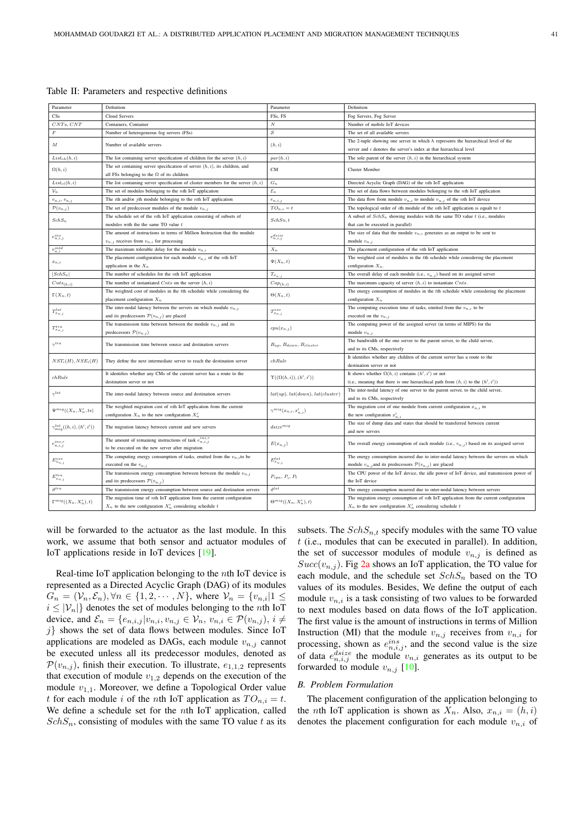| Parameter<br>Definition<br>Parameter<br>Definition<br>CS <sub>s</sub><br>Cloud Servers<br>FSs, FS<br>Fog Servers, Fog Server<br>$CNTs$ , $CNT$<br>$\boldsymbol{N}$<br>Containers, Container<br>Number of mobile IoT devices<br>$\mathcal{S}% _{M_{1},M_{2}}^{\alpha,\beta}(\varepsilon)$<br>$\cal F$<br>Number of heterogeneous fog servers (FSs)<br>The set of all available servers<br>The 2-tuple showing one server in which $h$ represents the hierarchical level of the<br>$\cal M$<br>Number of available servers<br>(h, i)<br>server and i denotes the server's index at that hierarchical level<br>$List_{ch}(h, i)$<br>The list containing server specification of children for the server $(h, i)$<br>par(h, i)<br>The sole parent of the server $(h, i)$ in the hierarchical system<br>The set containing server specification of server $(h, i)$ , its children, and<br>$\Omega(h,i)$<br><b>CM</b><br>Cluster Member<br>all FSs belonging to the $\Omega$ of its children<br>$\mathcal{G}_n$<br>$List_{cl}(h,i)$<br>The list containing server specification of cluster members for the server $(h, i)$<br>Directed Acyclic Graph (DAG) of the nth IoT application<br>$\mathcal{E}_n$<br>$\mathcal{V}_n$<br>The set of data flows between modules belonging to the nth IoT application<br>The set of modules belonging to the $n$ th IoT application<br>The data flow from module $v_{n,i}$ to module $v_{n,j}$ of the <i>n</i> th IoT device<br>The <i>i</i> th and/or $j$ th module belonging to the $n$ th IoT application<br>$v_{n,i}, v_{n,j}$<br>$e_{n,i,j}$<br>${\cal T}{\cal O}_{n,i}=t$<br>$\mathcal{P}(v_{n,j})$<br>The set of predecessor modules of the module $v_{n,i}$<br>The topological order of ith module of the $n$ th IoT application is equalt to $t$<br>The schedule set of the nth IoT application consisting of subsets of<br>A subset of $SchS_n$ showing modules with the same TO value t (i.e., modules<br>$SchS_n$<br>SchSn, t<br>modules with the the same TO value $t$<br>that can be executed in parallel)<br>The amount of instructions in terms of Million Instruction that the module<br>The size of data that the module $v_{n,i}$ generates as an output to be sent to<br>$e_{n,i,j}^{disize}$<br>$e_{n,i,j}^{ins}$<br>$v_{n,j}$ receives from $v_{n,i}$ for processing<br>module $v_{n,j}$<br>$v_{n,i}^{mtd}$<br>$\mathcal{X}_n$<br>The maximum tolerable delay for the module $v_{n,i}$<br>The placement configuration of the nth IoT application<br>The placement configuration for each module $v_{n,i}$ of the nth IoT<br>The weighted cost of modules in the tth schedule while considering the placement<br>$\Psi(X_n,t)$<br>$x_{n,i}$<br>application in the $X_n$<br>configuration $X_n$ .<br>$ SchS_n $<br>The overall delay of each module (i.e., $v_{n,j}$ ) based on its assigned server<br>The number of schedules for the nth IoT application<br>$T_{x_{\underline{n,j}}}$<br>The maximum capacity of server $(h, i)$ to instantiate Cnts.<br>The number of instantiated $C$ nts on the server $(h, i)$<br>$Cap_{(h,i)}$<br>$Cnts_{(h,i)}$<br>The weighted cost of modules in the tth schedule while considering the<br>The energy consumption of modules in the tth schedule while considering the placement<br>$\Gamma(X_n,t)$<br>$\Theta(X_n,t)$<br>placement configuration $X_n$<br>configuration $X_n$<br>The inter-nodal latency between the servers on which module $v_{n,j}$<br>The computing execution time of tasks, emitted from the $v_{n,i}$ to be<br>$T^{lat}_{x_{n,j}}$<br>$T^{exe}_{\boldsymbol{x}_{n,j}}$<br>and its predecessors $\mathcal{P}(v_{n,j})$ are placed<br>executed on the $v_{n,i}$<br>The transmission time between between the module $v_{n,j}$ and its<br>The computing power of the assigned server (in terms of MIPS) for the<br>$T^{tra}_{x_{n,j}}$<br>$cpu(x_{n,j})$<br>predecessors $\mathcal{P}(v_{n,j})$<br>module $v_{n,i}$<br>The bandwidth of the one server to the parent server, to the child server,<br>$\gamma^{tra}$<br>The transmission time between source and destination servers<br>$B_{up}$ , $B_{down}$ , $B_{cluster}$<br>and to its CMs, respectively<br>It identifies whether any children of the current server has a route to the<br>$NST_i(H), NSE_i(H)$<br>chRule<br>They define the next intermediate server to reach the destination server<br>destination server or not<br>It identifies whether any CMs of the current server has a route to the<br>It shows whether $\Omega(h, i)$ contains $(h', i')$ or not<br>chRule<br>$\Upsilon((\Omega(h,i)), (h',i'))$<br>destination server or not<br>(i.e., meaning that there is one hierarchical path from $(h, i)$ to the $(h', i')$ )<br>The inter-nodal latency of one server to the parent server, to the child server,<br>$\gamma^{lat}$<br>The inter-nodal latency between source and destination servers<br>$lat(up)$ , $lat(down)$ , $lat(cluster)$<br>and to its CMs, respectively<br>The weighted migration cost of nth IoT application from the current<br>The migration cost of one module from current configuration $x_{n,i}$ to<br>$\Psi^{mig}((X_n, X'_n, ts)$<br>$\gamma^{mig}(x_{n,i}, x'_{n,i})$<br>configuration $X_n$ to the new configuration $X'_n$<br>the new configuration $x'_{n,i}$<br>The size of dump data and states that should be transferred between current<br>$\gamma^{lat}_{mia}((h,i),(h',i'))$<br>disize <sup>mig</sup><br>The migration latency between current and new servers<br>and new servers<br>The amount of remaining instructions of task $e_{n,i,j}^{ins,r}$<br>$e_{n,i,j}^{ins,r}$<br>$E(x_{n,j})$<br>The overall energy consumption of each module (i.e., $v_{n,j}$ ) based on its assigned server<br>to be executed on the new server after migration<br>The computing energy consumption of tasks, emitted from the $v_{n,i}$ to be<br>The energy consumption incurred due to inter-nodal latency between the servers on which<br>$E_{x_{n,j}}^{exe}$<br>$E_{x_{n,j}}^{lat}$<br>module $v_{n,j}$ and its predecessors $\mathcal{P}(v_{n,j})$ are placed<br>executed on the $v_{n,j}$<br>The CPU power of the IoT device, the idle power of IoT device, and transmission power of<br>The transmission energy consumption between between the module $v_{n,i}$<br>$E^{tra}_{x_{n,j}}$<br>$P_{cpu}, P_i, P_t$<br>and its predecessors $\mathcal{P}(v_{n,j})$<br>the IoT device<br>$\theta$ <sup>lat</sup><br>$_{iftra}$<br>The energy consumption incurred due to inter-nodal latency between servers<br>The transmission energy consumption between source and destination servers<br>The migration time of nth IoT application from the current configuration<br>The migration energy consumption of nth IoT application from the current configuration<br>$\Gamma^{mig}((X_n,X_n'),t)$<br>$\Theta^{mig}((X_n,X_n'),t)$ |  |                                                              |  |                                                              |  |  |
|---------------------------------------------------------------------------------------------------------------------------------------------------------------------------------------------------------------------------------------------------------------------------------------------------------------------------------------------------------------------------------------------------------------------------------------------------------------------------------------------------------------------------------------------------------------------------------------------------------------------------------------------------------------------------------------------------------------------------------------------------------------------------------------------------------------------------------------------------------------------------------------------------------------------------------------------------------------------------------------------------------------------------------------------------------------------------------------------------------------------------------------------------------------------------------------------------------------------------------------------------------------------------------------------------------------------------------------------------------------------------------------------------------------------------------------------------------------------------------------------------------------------------------------------------------------------------------------------------------------------------------------------------------------------------------------------------------------------------------------------------------------------------------------------------------------------------------------------------------------------------------------------------------------------------------------------------------------------------------------------------------------------------------------------------------------------------------------------------------------------------------------------------------------------------------------------------------------------------------------------------------------------------------------------------------------------------------------------------------------------------------------------------------------------------------------------------------------------------------------------------------------------------------------------------------------------------------------------------------------------------------------------------------------------------------------------------------------------------------------------------------------------------------------------------------------------------------------------------------------------------------------------------------------------------------------------------------------------------------------------------------------------------------------------------------------------------------------------------------------------------------------------------------------------------------------------------------------------------------------------------------------------------------------------------------------------------------------------------------------------------------------------------------------------------------------------------------------------------------------------------------------------------------------------------------------------------------------------------------------------------------------------------------------------------------------------------------------------------------------------------------------------------------------------------------------------------------------------------------------------------------------------------------------------------------------------------------------------------------------------------------------------------------------------------------------------------------------------------------------------------------------------------------------------------------------------------------------------------------------------------------------------------------------------------------------------------------------------------------------------------------------------------------------------------------------------------------------------------------------------------------------------------------------------------------------------------------------------------------------------------------------------------------------------------------------------------------------------------------------------------------------------------------------------------------------------------------------------------------------------------------------------------------------------------------------------------------------------------------------------------------------------------------------------------------------------------------------------------------------------------------------------------------------------------------------------------------------------------------------------------------------------------------------------------------------------------------------------------------------------------------------------------------------------------------------------------------------------------------------------------------------------------------------------------------------------------------------------------------------------------------------------------------------------------------------------------------------------------------------------------------------------------------------------------------------------------------------------------------------------------------------------------------------------------------------------------------------------------------------------------------------------------------------------------------------------------------------------------------------------------------------------------------------------------------------------------------------------------------------------------------------------------------------------------------------------------------------------------------------------------------------------------------------------------------------------------------------------------------------------------------------------------------------------------------------------------------------------------------------------------------------------------------------------------------------------------------------------------------------------------------------------------------------------------------------------------------------------------------|--|--------------------------------------------------------------|--|--------------------------------------------------------------|--|--|
|                                                                                                                                                                                                                                                                                                                                                                                                                                                                                                                                                                                                                                                                                                                                                                                                                                                                                                                                                                                                                                                                                                                                                                                                                                                                                                                                                                                                                                                                                                                                                                                                                                                                                                                                                                                                                                                                                                                                                                                                                                                                                                                                                                                                                                                                                                                                                                                                                                                                                                                                                                                                                                                                                                                                                                                                                                                                                                                                                                                                                                                                                                                                                                                                                                                                                                                                                                                                                                                                                                                                                                                                                                                                                                                                                                                                                                                                                                                                                                                                                                                                                                                                                                                                                                                                                                                                                                                                                                                                                                                                                                                                                                                                                                                                                                                                                                                                                                                                                                                                                                                                                                                                                                                                                                                                                                                                                                                                                                                                                                                                                                                                                                                                                                                                                                                                                                                                                                                                                                                                                                                                                                                                                                                                                                                                                                                                                                                                                                                                                                                                                                                                                                                                                                                                                                                                                                                         |  |                                                              |  |                                                              |  |  |
|                                                                                                                                                                                                                                                                                                                                                                                                                                                                                                                                                                                                                                                                                                                                                                                                                                                                                                                                                                                                                                                                                                                                                                                                                                                                                                                                                                                                                                                                                                                                                                                                                                                                                                                                                                                                                                                                                                                                                                                                                                                                                                                                                                                                                                                                                                                                                                                                                                                                                                                                                                                                                                                                                                                                                                                                                                                                                                                                                                                                                                                                                                                                                                                                                                                                                                                                                                                                                                                                                                                                                                                                                                                                                                                                                                                                                                                                                                                                                                                                                                                                                                                                                                                                                                                                                                                                                                                                                                                                                                                                                                                                                                                                                                                                                                                                                                                                                                                                                                                                                                                                                                                                                                                                                                                                                                                                                                                                                                                                                                                                                                                                                                                                                                                                                                                                                                                                                                                                                                                                                                                                                                                                                                                                                                                                                                                                                                                                                                                                                                                                                                                                                                                                                                                                                                                                                                                         |  |                                                              |  |                                                              |  |  |
|                                                                                                                                                                                                                                                                                                                                                                                                                                                                                                                                                                                                                                                                                                                                                                                                                                                                                                                                                                                                                                                                                                                                                                                                                                                                                                                                                                                                                                                                                                                                                                                                                                                                                                                                                                                                                                                                                                                                                                                                                                                                                                                                                                                                                                                                                                                                                                                                                                                                                                                                                                                                                                                                                                                                                                                                                                                                                                                                                                                                                                                                                                                                                                                                                                                                                                                                                                                                                                                                                                                                                                                                                                                                                                                                                                                                                                                                                                                                                                                                                                                                                                                                                                                                                                                                                                                                                                                                                                                                                                                                                                                                                                                                                                                                                                                                                                                                                                                                                                                                                                                                                                                                                                                                                                                                                                                                                                                                                                                                                                                                                                                                                                                                                                                                                                                                                                                                                                                                                                                                                                                                                                                                                                                                                                                                                                                                                                                                                                                                                                                                                                                                                                                                                                                                                                                                                                                         |  |                                                              |  |                                                              |  |  |
|                                                                                                                                                                                                                                                                                                                                                                                                                                                                                                                                                                                                                                                                                                                                                                                                                                                                                                                                                                                                                                                                                                                                                                                                                                                                                                                                                                                                                                                                                                                                                                                                                                                                                                                                                                                                                                                                                                                                                                                                                                                                                                                                                                                                                                                                                                                                                                                                                                                                                                                                                                                                                                                                                                                                                                                                                                                                                                                                                                                                                                                                                                                                                                                                                                                                                                                                                                                                                                                                                                                                                                                                                                                                                                                                                                                                                                                                                                                                                                                                                                                                                                                                                                                                                                                                                                                                                                                                                                                                                                                                                                                                                                                                                                                                                                                                                                                                                                                                                                                                                                                                                                                                                                                                                                                                                                                                                                                                                                                                                                                                                                                                                                                                                                                                                                                                                                                                                                                                                                                                                                                                                                                                                                                                                                                                                                                                                                                                                                                                                                                                                                                                                                                                                                                                                                                                                                                         |  |                                                              |  |                                                              |  |  |
|                                                                                                                                                                                                                                                                                                                                                                                                                                                                                                                                                                                                                                                                                                                                                                                                                                                                                                                                                                                                                                                                                                                                                                                                                                                                                                                                                                                                                                                                                                                                                                                                                                                                                                                                                                                                                                                                                                                                                                                                                                                                                                                                                                                                                                                                                                                                                                                                                                                                                                                                                                                                                                                                                                                                                                                                                                                                                                                                                                                                                                                                                                                                                                                                                                                                                                                                                                                                                                                                                                                                                                                                                                                                                                                                                                                                                                                                                                                                                                                                                                                                                                                                                                                                                                                                                                                                                                                                                                                                                                                                                                                                                                                                                                                                                                                                                                                                                                                                                                                                                                                                                                                                                                                                                                                                                                                                                                                                                                                                                                                                                                                                                                                                                                                                                                                                                                                                                                                                                                                                                                                                                                                                                                                                                                                                                                                                                                                                                                                                                                                                                                                                                                                                                                                                                                                                                                                         |  |                                                              |  |                                                              |  |  |
|                                                                                                                                                                                                                                                                                                                                                                                                                                                                                                                                                                                                                                                                                                                                                                                                                                                                                                                                                                                                                                                                                                                                                                                                                                                                                                                                                                                                                                                                                                                                                                                                                                                                                                                                                                                                                                                                                                                                                                                                                                                                                                                                                                                                                                                                                                                                                                                                                                                                                                                                                                                                                                                                                                                                                                                                                                                                                                                                                                                                                                                                                                                                                                                                                                                                                                                                                                                                                                                                                                                                                                                                                                                                                                                                                                                                                                                                                                                                                                                                                                                                                                                                                                                                                                                                                                                                                                                                                                                                                                                                                                                                                                                                                                                                                                                                                                                                                                                                                                                                                                                                                                                                                                                                                                                                                                                                                                                                                                                                                                                                                                                                                                                                                                                                                                                                                                                                                                                                                                                                                                                                                                                                                                                                                                                                                                                                                                                                                                                                                                                                                                                                                                                                                                                                                                                                                                                         |  |                                                              |  |                                                              |  |  |
|                                                                                                                                                                                                                                                                                                                                                                                                                                                                                                                                                                                                                                                                                                                                                                                                                                                                                                                                                                                                                                                                                                                                                                                                                                                                                                                                                                                                                                                                                                                                                                                                                                                                                                                                                                                                                                                                                                                                                                                                                                                                                                                                                                                                                                                                                                                                                                                                                                                                                                                                                                                                                                                                                                                                                                                                                                                                                                                                                                                                                                                                                                                                                                                                                                                                                                                                                                                                                                                                                                                                                                                                                                                                                                                                                                                                                                                                                                                                                                                                                                                                                                                                                                                                                                                                                                                                                                                                                                                                                                                                                                                                                                                                                                                                                                                                                                                                                                                                                                                                                                                                                                                                                                                                                                                                                                                                                                                                                                                                                                                                                                                                                                                                                                                                                                                                                                                                                                                                                                                                                                                                                                                                                                                                                                                                                                                                                                                                                                                                                                                                                                                                                                                                                                                                                                                                                                                         |  |                                                              |  |                                                              |  |  |
|                                                                                                                                                                                                                                                                                                                                                                                                                                                                                                                                                                                                                                                                                                                                                                                                                                                                                                                                                                                                                                                                                                                                                                                                                                                                                                                                                                                                                                                                                                                                                                                                                                                                                                                                                                                                                                                                                                                                                                                                                                                                                                                                                                                                                                                                                                                                                                                                                                                                                                                                                                                                                                                                                                                                                                                                                                                                                                                                                                                                                                                                                                                                                                                                                                                                                                                                                                                                                                                                                                                                                                                                                                                                                                                                                                                                                                                                                                                                                                                                                                                                                                                                                                                                                                                                                                                                                                                                                                                                                                                                                                                                                                                                                                                                                                                                                                                                                                                                                                                                                                                                                                                                                                                                                                                                                                                                                                                                                                                                                                                                                                                                                                                                                                                                                                                                                                                                                                                                                                                                                                                                                                                                                                                                                                                                                                                                                                                                                                                                                                                                                                                                                                                                                                                                                                                                                                                         |  |                                                              |  |                                                              |  |  |
|                                                                                                                                                                                                                                                                                                                                                                                                                                                                                                                                                                                                                                                                                                                                                                                                                                                                                                                                                                                                                                                                                                                                                                                                                                                                                                                                                                                                                                                                                                                                                                                                                                                                                                                                                                                                                                                                                                                                                                                                                                                                                                                                                                                                                                                                                                                                                                                                                                                                                                                                                                                                                                                                                                                                                                                                                                                                                                                                                                                                                                                                                                                                                                                                                                                                                                                                                                                                                                                                                                                                                                                                                                                                                                                                                                                                                                                                                                                                                                                                                                                                                                                                                                                                                                                                                                                                                                                                                                                                                                                                                                                                                                                                                                                                                                                                                                                                                                                                                                                                                                                                                                                                                                                                                                                                                                                                                                                                                                                                                                                                                                                                                                                                                                                                                                                                                                                                                                                                                                                                                                                                                                                                                                                                                                                                                                                                                                                                                                                                                                                                                                                                                                                                                                                                                                                                                                                         |  |                                                              |  |                                                              |  |  |
|                                                                                                                                                                                                                                                                                                                                                                                                                                                                                                                                                                                                                                                                                                                                                                                                                                                                                                                                                                                                                                                                                                                                                                                                                                                                                                                                                                                                                                                                                                                                                                                                                                                                                                                                                                                                                                                                                                                                                                                                                                                                                                                                                                                                                                                                                                                                                                                                                                                                                                                                                                                                                                                                                                                                                                                                                                                                                                                                                                                                                                                                                                                                                                                                                                                                                                                                                                                                                                                                                                                                                                                                                                                                                                                                                                                                                                                                                                                                                                                                                                                                                                                                                                                                                                                                                                                                                                                                                                                                                                                                                                                                                                                                                                                                                                                                                                                                                                                                                                                                                                                                                                                                                                                                                                                                                                                                                                                                                                                                                                                                                                                                                                                                                                                                                                                                                                                                                                                                                                                                                                                                                                                                                                                                                                                                                                                                                                                                                                                                                                                                                                                                                                                                                                                                                                                                                                                         |  |                                                              |  |                                                              |  |  |
|                                                                                                                                                                                                                                                                                                                                                                                                                                                                                                                                                                                                                                                                                                                                                                                                                                                                                                                                                                                                                                                                                                                                                                                                                                                                                                                                                                                                                                                                                                                                                                                                                                                                                                                                                                                                                                                                                                                                                                                                                                                                                                                                                                                                                                                                                                                                                                                                                                                                                                                                                                                                                                                                                                                                                                                                                                                                                                                                                                                                                                                                                                                                                                                                                                                                                                                                                                                                                                                                                                                                                                                                                                                                                                                                                                                                                                                                                                                                                                                                                                                                                                                                                                                                                                                                                                                                                                                                                                                                                                                                                                                                                                                                                                                                                                                                                                                                                                                                                                                                                                                                                                                                                                                                                                                                                                                                                                                                                                                                                                                                                                                                                                                                                                                                                                                                                                                                                                                                                                                                                                                                                                                                                                                                                                                                                                                                                                                                                                                                                                                                                                                                                                                                                                                                                                                                                                                         |  |                                                              |  |                                                              |  |  |
|                                                                                                                                                                                                                                                                                                                                                                                                                                                                                                                                                                                                                                                                                                                                                                                                                                                                                                                                                                                                                                                                                                                                                                                                                                                                                                                                                                                                                                                                                                                                                                                                                                                                                                                                                                                                                                                                                                                                                                                                                                                                                                                                                                                                                                                                                                                                                                                                                                                                                                                                                                                                                                                                                                                                                                                                                                                                                                                                                                                                                                                                                                                                                                                                                                                                                                                                                                                                                                                                                                                                                                                                                                                                                                                                                                                                                                                                                                                                                                                                                                                                                                                                                                                                                                                                                                                                                                                                                                                                                                                                                                                                                                                                                                                                                                                                                                                                                                                                                                                                                                                                                                                                                                                                                                                                                                                                                                                                                                                                                                                                                                                                                                                                                                                                                                                                                                                                                                                                                                                                                                                                                                                                                                                                                                                                                                                                                                                                                                                                                                                                                                                                                                                                                                                                                                                                                                                         |  |                                                              |  |                                                              |  |  |
|                                                                                                                                                                                                                                                                                                                                                                                                                                                                                                                                                                                                                                                                                                                                                                                                                                                                                                                                                                                                                                                                                                                                                                                                                                                                                                                                                                                                                                                                                                                                                                                                                                                                                                                                                                                                                                                                                                                                                                                                                                                                                                                                                                                                                                                                                                                                                                                                                                                                                                                                                                                                                                                                                                                                                                                                                                                                                                                                                                                                                                                                                                                                                                                                                                                                                                                                                                                                                                                                                                                                                                                                                                                                                                                                                                                                                                                                                                                                                                                                                                                                                                                                                                                                                                                                                                                                                                                                                                                                                                                                                                                                                                                                                                                                                                                                                                                                                                                                                                                                                                                                                                                                                                                                                                                                                                                                                                                                                                                                                                                                                                                                                                                                                                                                                                                                                                                                                                                                                                                                                                                                                                                                                                                                                                                                                                                                                                                                                                                                                                                                                                                                                                                                                                                                                                                                                                                         |  |                                                              |  |                                                              |  |  |
|                                                                                                                                                                                                                                                                                                                                                                                                                                                                                                                                                                                                                                                                                                                                                                                                                                                                                                                                                                                                                                                                                                                                                                                                                                                                                                                                                                                                                                                                                                                                                                                                                                                                                                                                                                                                                                                                                                                                                                                                                                                                                                                                                                                                                                                                                                                                                                                                                                                                                                                                                                                                                                                                                                                                                                                                                                                                                                                                                                                                                                                                                                                                                                                                                                                                                                                                                                                                                                                                                                                                                                                                                                                                                                                                                                                                                                                                                                                                                                                                                                                                                                                                                                                                                                                                                                                                                                                                                                                                                                                                                                                                                                                                                                                                                                                                                                                                                                                                                                                                                                                                                                                                                                                                                                                                                                                                                                                                                                                                                                                                                                                                                                                                                                                                                                                                                                                                                                                                                                                                                                                                                                                                                                                                                                                                                                                                                                                                                                                                                                                                                                                                                                                                                                                                                                                                                                                         |  |                                                              |  |                                                              |  |  |
|                                                                                                                                                                                                                                                                                                                                                                                                                                                                                                                                                                                                                                                                                                                                                                                                                                                                                                                                                                                                                                                                                                                                                                                                                                                                                                                                                                                                                                                                                                                                                                                                                                                                                                                                                                                                                                                                                                                                                                                                                                                                                                                                                                                                                                                                                                                                                                                                                                                                                                                                                                                                                                                                                                                                                                                                                                                                                                                                                                                                                                                                                                                                                                                                                                                                                                                                                                                                                                                                                                                                                                                                                                                                                                                                                                                                                                                                                                                                                                                                                                                                                                                                                                                                                                                                                                                                                                                                                                                                                                                                                                                                                                                                                                                                                                                                                                                                                                                                                                                                                                                                                                                                                                                                                                                                                                                                                                                                                                                                                                                                                                                                                                                                                                                                                                                                                                                                                                                                                                                                                                                                                                                                                                                                                                                                                                                                                                                                                                                                                                                                                                                                                                                                                                                                                                                                                                                         |  |                                                              |  |                                                              |  |  |
|                                                                                                                                                                                                                                                                                                                                                                                                                                                                                                                                                                                                                                                                                                                                                                                                                                                                                                                                                                                                                                                                                                                                                                                                                                                                                                                                                                                                                                                                                                                                                                                                                                                                                                                                                                                                                                                                                                                                                                                                                                                                                                                                                                                                                                                                                                                                                                                                                                                                                                                                                                                                                                                                                                                                                                                                                                                                                                                                                                                                                                                                                                                                                                                                                                                                                                                                                                                                                                                                                                                                                                                                                                                                                                                                                                                                                                                                                                                                                                                                                                                                                                                                                                                                                                                                                                                                                                                                                                                                                                                                                                                                                                                                                                                                                                                                                                                                                                                                                                                                                                                                                                                                                                                                                                                                                                                                                                                                                                                                                                                                                                                                                                                                                                                                                                                                                                                                                                                                                                                                                                                                                                                                                                                                                                                                                                                                                                                                                                                                                                                                                                                                                                                                                                                                                                                                                                                         |  |                                                              |  |                                                              |  |  |
|                                                                                                                                                                                                                                                                                                                                                                                                                                                                                                                                                                                                                                                                                                                                                                                                                                                                                                                                                                                                                                                                                                                                                                                                                                                                                                                                                                                                                                                                                                                                                                                                                                                                                                                                                                                                                                                                                                                                                                                                                                                                                                                                                                                                                                                                                                                                                                                                                                                                                                                                                                                                                                                                                                                                                                                                                                                                                                                                                                                                                                                                                                                                                                                                                                                                                                                                                                                                                                                                                                                                                                                                                                                                                                                                                                                                                                                                                                                                                                                                                                                                                                                                                                                                                                                                                                                                                                                                                                                                                                                                                                                                                                                                                                                                                                                                                                                                                                                                                                                                                                                                                                                                                                                                                                                                                                                                                                                                                                                                                                                                                                                                                                                                                                                                                                                                                                                                                                                                                                                                                                                                                                                                                                                                                                                                                                                                                                                                                                                                                                                                                                                                                                                                                                                                                                                                                                                         |  |                                                              |  |                                                              |  |  |
|                                                                                                                                                                                                                                                                                                                                                                                                                                                                                                                                                                                                                                                                                                                                                                                                                                                                                                                                                                                                                                                                                                                                                                                                                                                                                                                                                                                                                                                                                                                                                                                                                                                                                                                                                                                                                                                                                                                                                                                                                                                                                                                                                                                                                                                                                                                                                                                                                                                                                                                                                                                                                                                                                                                                                                                                                                                                                                                                                                                                                                                                                                                                                                                                                                                                                                                                                                                                                                                                                                                                                                                                                                                                                                                                                                                                                                                                                                                                                                                                                                                                                                                                                                                                                                                                                                                                                                                                                                                                                                                                                                                                                                                                                                                                                                                                                                                                                                                                                                                                                                                                                                                                                                                                                                                                                                                                                                                                                                                                                                                                                                                                                                                                                                                                                                                                                                                                                                                                                                                                                                                                                                                                                                                                                                                                                                                                                                                                                                                                                                                                                                                                                                                                                                                                                                                                                                                         |  |                                                              |  |                                                              |  |  |
|                                                                                                                                                                                                                                                                                                                                                                                                                                                                                                                                                                                                                                                                                                                                                                                                                                                                                                                                                                                                                                                                                                                                                                                                                                                                                                                                                                                                                                                                                                                                                                                                                                                                                                                                                                                                                                                                                                                                                                                                                                                                                                                                                                                                                                                                                                                                                                                                                                                                                                                                                                                                                                                                                                                                                                                                                                                                                                                                                                                                                                                                                                                                                                                                                                                                                                                                                                                                                                                                                                                                                                                                                                                                                                                                                                                                                                                                                                                                                                                                                                                                                                                                                                                                                                                                                                                                                                                                                                                                                                                                                                                                                                                                                                                                                                                                                                                                                                                                                                                                                                                                                                                                                                                                                                                                                                                                                                                                                                                                                                                                                                                                                                                                                                                                                                                                                                                                                                                                                                                                                                                                                                                                                                                                                                                                                                                                                                                                                                                                                                                                                                                                                                                                                                                                                                                                                                                         |  |                                                              |  |                                                              |  |  |
|                                                                                                                                                                                                                                                                                                                                                                                                                                                                                                                                                                                                                                                                                                                                                                                                                                                                                                                                                                                                                                                                                                                                                                                                                                                                                                                                                                                                                                                                                                                                                                                                                                                                                                                                                                                                                                                                                                                                                                                                                                                                                                                                                                                                                                                                                                                                                                                                                                                                                                                                                                                                                                                                                                                                                                                                                                                                                                                                                                                                                                                                                                                                                                                                                                                                                                                                                                                                                                                                                                                                                                                                                                                                                                                                                                                                                                                                                                                                                                                                                                                                                                                                                                                                                                                                                                                                                                                                                                                                                                                                                                                                                                                                                                                                                                                                                                                                                                                                                                                                                                                                                                                                                                                                                                                                                                                                                                                                                                                                                                                                                                                                                                                                                                                                                                                                                                                                                                                                                                                                                                                                                                                                                                                                                                                                                                                                                                                                                                                                                                                                                                                                                                                                                                                                                                                                                                                         |  |                                                              |  |                                                              |  |  |
|                                                                                                                                                                                                                                                                                                                                                                                                                                                                                                                                                                                                                                                                                                                                                                                                                                                                                                                                                                                                                                                                                                                                                                                                                                                                                                                                                                                                                                                                                                                                                                                                                                                                                                                                                                                                                                                                                                                                                                                                                                                                                                                                                                                                                                                                                                                                                                                                                                                                                                                                                                                                                                                                                                                                                                                                                                                                                                                                                                                                                                                                                                                                                                                                                                                                                                                                                                                                                                                                                                                                                                                                                                                                                                                                                                                                                                                                                                                                                                                                                                                                                                                                                                                                                                                                                                                                                                                                                                                                                                                                                                                                                                                                                                                                                                                                                                                                                                                                                                                                                                                                                                                                                                                                                                                                                                                                                                                                                                                                                                                                                                                                                                                                                                                                                                                                                                                                                                                                                                                                                                                                                                                                                                                                                                                                                                                                                                                                                                                                                                                                                                                                                                                                                                                                                                                                                                                         |  |                                                              |  |                                                              |  |  |
|                                                                                                                                                                                                                                                                                                                                                                                                                                                                                                                                                                                                                                                                                                                                                                                                                                                                                                                                                                                                                                                                                                                                                                                                                                                                                                                                                                                                                                                                                                                                                                                                                                                                                                                                                                                                                                                                                                                                                                                                                                                                                                                                                                                                                                                                                                                                                                                                                                                                                                                                                                                                                                                                                                                                                                                                                                                                                                                                                                                                                                                                                                                                                                                                                                                                                                                                                                                                                                                                                                                                                                                                                                                                                                                                                                                                                                                                                                                                                                                                                                                                                                                                                                                                                                                                                                                                                                                                                                                                                                                                                                                                                                                                                                                                                                                                                                                                                                                                                                                                                                                                                                                                                                                                                                                                                                                                                                                                                                                                                                                                                                                                                                                                                                                                                                                                                                                                                                                                                                                                                                                                                                                                                                                                                                                                                                                                                                                                                                                                                                                                                                                                                                                                                                                                                                                                                                                         |  |                                                              |  |                                                              |  |  |
|                                                                                                                                                                                                                                                                                                                                                                                                                                                                                                                                                                                                                                                                                                                                                                                                                                                                                                                                                                                                                                                                                                                                                                                                                                                                                                                                                                                                                                                                                                                                                                                                                                                                                                                                                                                                                                                                                                                                                                                                                                                                                                                                                                                                                                                                                                                                                                                                                                                                                                                                                                                                                                                                                                                                                                                                                                                                                                                                                                                                                                                                                                                                                                                                                                                                                                                                                                                                                                                                                                                                                                                                                                                                                                                                                                                                                                                                                                                                                                                                                                                                                                                                                                                                                                                                                                                                                                                                                                                                                                                                                                                                                                                                                                                                                                                                                                                                                                                                                                                                                                                                                                                                                                                                                                                                                                                                                                                                                                                                                                                                                                                                                                                                                                                                                                                                                                                                                                                                                                                                                                                                                                                                                                                                                                                                                                                                                                                                                                                                                                                                                                                                                                                                                                                                                                                                                                                         |  |                                                              |  |                                                              |  |  |
|                                                                                                                                                                                                                                                                                                                                                                                                                                                                                                                                                                                                                                                                                                                                                                                                                                                                                                                                                                                                                                                                                                                                                                                                                                                                                                                                                                                                                                                                                                                                                                                                                                                                                                                                                                                                                                                                                                                                                                                                                                                                                                                                                                                                                                                                                                                                                                                                                                                                                                                                                                                                                                                                                                                                                                                                                                                                                                                                                                                                                                                                                                                                                                                                                                                                                                                                                                                                                                                                                                                                                                                                                                                                                                                                                                                                                                                                                                                                                                                                                                                                                                                                                                                                                                                                                                                                                                                                                                                                                                                                                                                                                                                                                                                                                                                                                                                                                                                                                                                                                                                                                                                                                                                                                                                                                                                                                                                                                                                                                                                                                                                                                                                                                                                                                                                                                                                                                                                                                                                                                                                                                                                                                                                                                                                                                                                                                                                                                                                                                                                                                                                                                                                                                                                                                                                                                                                         |  |                                                              |  |                                                              |  |  |
|                                                                                                                                                                                                                                                                                                                                                                                                                                                                                                                                                                                                                                                                                                                                                                                                                                                                                                                                                                                                                                                                                                                                                                                                                                                                                                                                                                                                                                                                                                                                                                                                                                                                                                                                                                                                                                                                                                                                                                                                                                                                                                                                                                                                                                                                                                                                                                                                                                                                                                                                                                                                                                                                                                                                                                                                                                                                                                                                                                                                                                                                                                                                                                                                                                                                                                                                                                                                                                                                                                                                                                                                                                                                                                                                                                                                                                                                                                                                                                                                                                                                                                                                                                                                                                                                                                                                                                                                                                                                                                                                                                                                                                                                                                                                                                                                                                                                                                                                                                                                                                                                                                                                                                                                                                                                                                                                                                                                                                                                                                                                                                                                                                                                                                                                                                                                                                                                                                                                                                                                                                                                                                                                                                                                                                                                                                                                                                                                                                                                                                                                                                                                                                                                                                                                                                                                                                                         |  |                                                              |  |                                                              |  |  |
|                                                                                                                                                                                                                                                                                                                                                                                                                                                                                                                                                                                                                                                                                                                                                                                                                                                                                                                                                                                                                                                                                                                                                                                                                                                                                                                                                                                                                                                                                                                                                                                                                                                                                                                                                                                                                                                                                                                                                                                                                                                                                                                                                                                                                                                                                                                                                                                                                                                                                                                                                                                                                                                                                                                                                                                                                                                                                                                                                                                                                                                                                                                                                                                                                                                                                                                                                                                                                                                                                                                                                                                                                                                                                                                                                                                                                                                                                                                                                                                                                                                                                                                                                                                                                                                                                                                                                                                                                                                                                                                                                                                                                                                                                                                                                                                                                                                                                                                                                                                                                                                                                                                                                                                                                                                                                                                                                                                                                                                                                                                                                                                                                                                                                                                                                                                                                                                                                                                                                                                                                                                                                                                                                                                                                                                                                                                                                                                                                                                                                                                                                                                                                                                                                                                                                                                                                                                         |  |                                                              |  |                                                              |  |  |
|                                                                                                                                                                                                                                                                                                                                                                                                                                                                                                                                                                                                                                                                                                                                                                                                                                                                                                                                                                                                                                                                                                                                                                                                                                                                                                                                                                                                                                                                                                                                                                                                                                                                                                                                                                                                                                                                                                                                                                                                                                                                                                                                                                                                                                                                                                                                                                                                                                                                                                                                                                                                                                                                                                                                                                                                                                                                                                                                                                                                                                                                                                                                                                                                                                                                                                                                                                                                                                                                                                                                                                                                                                                                                                                                                                                                                                                                                                                                                                                                                                                                                                                                                                                                                                                                                                                                                                                                                                                                                                                                                                                                                                                                                                                                                                                                                                                                                                                                                                                                                                                                                                                                                                                                                                                                                                                                                                                                                                                                                                                                                                                                                                                                                                                                                                                                                                                                                                                                                                                                                                                                                                                                                                                                                                                                                                                                                                                                                                                                                                                                                                                                                                                                                                                                                                                                                                                         |  |                                                              |  |                                                              |  |  |
|                                                                                                                                                                                                                                                                                                                                                                                                                                                                                                                                                                                                                                                                                                                                                                                                                                                                                                                                                                                                                                                                                                                                                                                                                                                                                                                                                                                                                                                                                                                                                                                                                                                                                                                                                                                                                                                                                                                                                                                                                                                                                                                                                                                                                                                                                                                                                                                                                                                                                                                                                                                                                                                                                                                                                                                                                                                                                                                                                                                                                                                                                                                                                                                                                                                                                                                                                                                                                                                                                                                                                                                                                                                                                                                                                                                                                                                                                                                                                                                                                                                                                                                                                                                                                                                                                                                                                                                                                                                                                                                                                                                                                                                                                                                                                                                                                                                                                                                                                                                                                                                                                                                                                                                                                                                                                                                                                                                                                                                                                                                                                                                                                                                                                                                                                                                                                                                                                                                                                                                                                                                                                                                                                                                                                                                                                                                                                                                                                                                                                                                                                                                                                                                                                                                                                                                                                                                         |  |                                                              |  |                                                              |  |  |
|                                                                                                                                                                                                                                                                                                                                                                                                                                                                                                                                                                                                                                                                                                                                                                                                                                                                                                                                                                                                                                                                                                                                                                                                                                                                                                                                                                                                                                                                                                                                                                                                                                                                                                                                                                                                                                                                                                                                                                                                                                                                                                                                                                                                                                                                                                                                                                                                                                                                                                                                                                                                                                                                                                                                                                                                                                                                                                                                                                                                                                                                                                                                                                                                                                                                                                                                                                                                                                                                                                                                                                                                                                                                                                                                                                                                                                                                                                                                                                                                                                                                                                                                                                                                                                                                                                                                                                                                                                                                                                                                                                                                                                                                                                                                                                                                                                                                                                                                                                                                                                                                                                                                                                                                                                                                                                                                                                                                                                                                                                                                                                                                                                                                                                                                                                                                                                                                                                                                                                                                                                                                                                                                                                                                                                                                                                                                                                                                                                                                                                                                                                                                                                                                                                                                                                                                                                                         |  |                                                              |  |                                                              |  |  |
|                                                                                                                                                                                                                                                                                                                                                                                                                                                                                                                                                                                                                                                                                                                                                                                                                                                                                                                                                                                                                                                                                                                                                                                                                                                                                                                                                                                                                                                                                                                                                                                                                                                                                                                                                                                                                                                                                                                                                                                                                                                                                                                                                                                                                                                                                                                                                                                                                                                                                                                                                                                                                                                                                                                                                                                                                                                                                                                                                                                                                                                                                                                                                                                                                                                                                                                                                                                                                                                                                                                                                                                                                                                                                                                                                                                                                                                                                                                                                                                                                                                                                                                                                                                                                                                                                                                                                                                                                                                                                                                                                                                                                                                                                                                                                                                                                                                                                                                                                                                                                                                                                                                                                                                                                                                                                                                                                                                                                                                                                                                                                                                                                                                                                                                                                                                                                                                                                                                                                                                                                                                                                                                                                                                                                                                                                                                                                                                                                                                                                                                                                                                                                                                                                                                                                                                                                                                         |  |                                                              |  |                                                              |  |  |
|                                                                                                                                                                                                                                                                                                                                                                                                                                                                                                                                                                                                                                                                                                                                                                                                                                                                                                                                                                                                                                                                                                                                                                                                                                                                                                                                                                                                                                                                                                                                                                                                                                                                                                                                                                                                                                                                                                                                                                                                                                                                                                                                                                                                                                                                                                                                                                                                                                                                                                                                                                                                                                                                                                                                                                                                                                                                                                                                                                                                                                                                                                                                                                                                                                                                                                                                                                                                                                                                                                                                                                                                                                                                                                                                                                                                                                                                                                                                                                                                                                                                                                                                                                                                                                                                                                                                                                                                                                                                                                                                                                                                                                                                                                                                                                                                                                                                                                                                                                                                                                                                                                                                                                                                                                                                                                                                                                                                                                                                                                                                                                                                                                                                                                                                                                                                                                                                                                                                                                                                                                                                                                                                                                                                                                                                                                                                                                                                                                                                                                                                                                                                                                                                                                                                                                                                                                                         |  |                                                              |  |                                                              |  |  |
|                                                                                                                                                                                                                                                                                                                                                                                                                                                                                                                                                                                                                                                                                                                                                                                                                                                                                                                                                                                                                                                                                                                                                                                                                                                                                                                                                                                                                                                                                                                                                                                                                                                                                                                                                                                                                                                                                                                                                                                                                                                                                                                                                                                                                                                                                                                                                                                                                                                                                                                                                                                                                                                                                                                                                                                                                                                                                                                                                                                                                                                                                                                                                                                                                                                                                                                                                                                                                                                                                                                                                                                                                                                                                                                                                                                                                                                                                                                                                                                                                                                                                                                                                                                                                                                                                                                                                                                                                                                                                                                                                                                                                                                                                                                                                                                                                                                                                                                                                                                                                                                                                                                                                                                                                                                                                                                                                                                                                                                                                                                                                                                                                                                                                                                                                                                                                                                                                                                                                                                                                                                                                                                                                                                                                                                                                                                                                                                                                                                                                                                                                                                                                                                                                                                                                                                                                                                         |  |                                                              |  |                                                              |  |  |
|                                                                                                                                                                                                                                                                                                                                                                                                                                                                                                                                                                                                                                                                                                                                                                                                                                                                                                                                                                                                                                                                                                                                                                                                                                                                                                                                                                                                                                                                                                                                                                                                                                                                                                                                                                                                                                                                                                                                                                                                                                                                                                                                                                                                                                                                                                                                                                                                                                                                                                                                                                                                                                                                                                                                                                                                                                                                                                                                                                                                                                                                                                                                                                                                                                                                                                                                                                                                                                                                                                                                                                                                                                                                                                                                                                                                                                                                                                                                                                                                                                                                                                                                                                                                                                                                                                                                                                                                                                                                                                                                                                                                                                                                                                                                                                                                                                                                                                                                                                                                                                                                                                                                                                                                                                                                                                                                                                                                                                                                                                                                                                                                                                                                                                                                                                                                                                                                                                                                                                                                                                                                                                                                                                                                                                                                                                                                                                                                                                                                                                                                                                                                                                                                                                                                                                                                                                                         |  |                                                              |  |                                                              |  |  |
|                                                                                                                                                                                                                                                                                                                                                                                                                                                                                                                                                                                                                                                                                                                                                                                                                                                                                                                                                                                                                                                                                                                                                                                                                                                                                                                                                                                                                                                                                                                                                                                                                                                                                                                                                                                                                                                                                                                                                                                                                                                                                                                                                                                                                                                                                                                                                                                                                                                                                                                                                                                                                                                                                                                                                                                                                                                                                                                                                                                                                                                                                                                                                                                                                                                                                                                                                                                                                                                                                                                                                                                                                                                                                                                                                                                                                                                                                                                                                                                                                                                                                                                                                                                                                                                                                                                                                                                                                                                                                                                                                                                                                                                                                                                                                                                                                                                                                                                                                                                                                                                                                                                                                                                                                                                                                                                                                                                                                                                                                                                                                                                                                                                                                                                                                                                                                                                                                                                                                                                                                                                                                                                                                                                                                                                                                                                                                                                                                                                                                                                                                                                                                                                                                                                                                                                                                                                         |  |                                                              |  |                                                              |  |  |
|                                                                                                                                                                                                                                                                                                                                                                                                                                                                                                                                                                                                                                                                                                                                                                                                                                                                                                                                                                                                                                                                                                                                                                                                                                                                                                                                                                                                                                                                                                                                                                                                                                                                                                                                                                                                                                                                                                                                                                                                                                                                                                                                                                                                                                                                                                                                                                                                                                                                                                                                                                                                                                                                                                                                                                                                                                                                                                                                                                                                                                                                                                                                                                                                                                                                                                                                                                                                                                                                                                                                                                                                                                                                                                                                                                                                                                                                                                                                                                                                                                                                                                                                                                                                                                                                                                                                                                                                                                                                                                                                                                                                                                                                                                                                                                                                                                                                                                                                                                                                                                                                                                                                                                                                                                                                                                                                                                                                                                                                                                                                                                                                                                                                                                                                                                                                                                                                                                                                                                                                                                                                                                                                                                                                                                                                                                                                                                                                                                                                                                                                                                                                                                                                                                                                                                                                                                                         |  |                                                              |  |                                                              |  |  |
|                                                                                                                                                                                                                                                                                                                                                                                                                                                                                                                                                                                                                                                                                                                                                                                                                                                                                                                                                                                                                                                                                                                                                                                                                                                                                                                                                                                                                                                                                                                                                                                                                                                                                                                                                                                                                                                                                                                                                                                                                                                                                                                                                                                                                                                                                                                                                                                                                                                                                                                                                                                                                                                                                                                                                                                                                                                                                                                                                                                                                                                                                                                                                                                                                                                                                                                                                                                                                                                                                                                                                                                                                                                                                                                                                                                                                                                                                                                                                                                                                                                                                                                                                                                                                                                                                                                                                                                                                                                                                                                                                                                                                                                                                                                                                                                                                                                                                                                                                                                                                                                                                                                                                                                                                                                                                                                                                                                                                                                                                                                                                                                                                                                                                                                                                                                                                                                                                                                                                                                                                                                                                                                                                                                                                                                                                                                                                                                                                                                                                                                                                                                                                                                                                                                                                                                                                                                         |  |                                                              |  |                                                              |  |  |
|                                                                                                                                                                                                                                                                                                                                                                                                                                                                                                                                                                                                                                                                                                                                                                                                                                                                                                                                                                                                                                                                                                                                                                                                                                                                                                                                                                                                                                                                                                                                                                                                                                                                                                                                                                                                                                                                                                                                                                                                                                                                                                                                                                                                                                                                                                                                                                                                                                                                                                                                                                                                                                                                                                                                                                                                                                                                                                                                                                                                                                                                                                                                                                                                                                                                                                                                                                                                                                                                                                                                                                                                                                                                                                                                                                                                                                                                                                                                                                                                                                                                                                                                                                                                                                                                                                                                                                                                                                                                                                                                                                                                                                                                                                                                                                                                                                                                                                                                                                                                                                                                                                                                                                                                                                                                                                                                                                                                                                                                                                                                                                                                                                                                                                                                                                                                                                                                                                                                                                                                                                                                                                                                                                                                                                                                                                                                                                                                                                                                                                                                                                                                                                                                                                                                                                                                                                                         |  |                                                              |  |                                                              |  |  |
|                                                                                                                                                                                                                                                                                                                                                                                                                                                                                                                                                                                                                                                                                                                                                                                                                                                                                                                                                                                                                                                                                                                                                                                                                                                                                                                                                                                                                                                                                                                                                                                                                                                                                                                                                                                                                                                                                                                                                                                                                                                                                                                                                                                                                                                                                                                                                                                                                                                                                                                                                                                                                                                                                                                                                                                                                                                                                                                                                                                                                                                                                                                                                                                                                                                                                                                                                                                                                                                                                                                                                                                                                                                                                                                                                                                                                                                                                                                                                                                                                                                                                                                                                                                                                                                                                                                                                                                                                                                                                                                                                                                                                                                                                                                                                                                                                                                                                                                                                                                                                                                                                                                                                                                                                                                                                                                                                                                                                                                                                                                                                                                                                                                                                                                                                                                                                                                                                                                                                                                                                                                                                                                                                                                                                                                                                                                                                                                                                                                                                                                                                                                                                                                                                                                                                                                                                                                         |  |                                                              |  |                                                              |  |  |
|                                                                                                                                                                                                                                                                                                                                                                                                                                                                                                                                                                                                                                                                                                                                                                                                                                                                                                                                                                                                                                                                                                                                                                                                                                                                                                                                                                                                                                                                                                                                                                                                                                                                                                                                                                                                                                                                                                                                                                                                                                                                                                                                                                                                                                                                                                                                                                                                                                                                                                                                                                                                                                                                                                                                                                                                                                                                                                                                                                                                                                                                                                                                                                                                                                                                                                                                                                                                                                                                                                                                                                                                                                                                                                                                                                                                                                                                                                                                                                                                                                                                                                                                                                                                                                                                                                                                                                                                                                                                                                                                                                                                                                                                                                                                                                                                                                                                                                                                                                                                                                                                                                                                                                                                                                                                                                                                                                                                                                                                                                                                                                                                                                                                                                                                                                                                                                                                                                                                                                                                                                                                                                                                                                                                                                                                                                                                                                                                                                                                                                                                                                                                                                                                                                                                                                                                                                                         |  |                                                              |  |                                                              |  |  |
|                                                                                                                                                                                                                                                                                                                                                                                                                                                                                                                                                                                                                                                                                                                                                                                                                                                                                                                                                                                                                                                                                                                                                                                                                                                                                                                                                                                                                                                                                                                                                                                                                                                                                                                                                                                                                                                                                                                                                                                                                                                                                                                                                                                                                                                                                                                                                                                                                                                                                                                                                                                                                                                                                                                                                                                                                                                                                                                                                                                                                                                                                                                                                                                                                                                                                                                                                                                                                                                                                                                                                                                                                                                                                                                                                                                                                                                                                                                                                                                                                                                                                                                                                                                                                                                                                                                                                                                                                                                                                                                                                                                                                                                                                                                                                                                                                                                                                                                                                                                                                                                                                                                                                                                                                                                                                                                                                                                                                                                                                                                                                                                                                                                                                                                                                                                                                                                                                                                                                                                                                                                                                                                                                                                                                                                                                                                                                                                                                                                                                                                                                                                                                                                                                                                                                                                                                                                         |  |                                                              |  |                                                              |  |  |
|                                                                                                                                                                                                                                                                                                                                                                                                                                                                                                                                                                                                                                                                                                                                                                                                                                                                                                                                                                                                                                                                                                                                                                                                                                                                                                                                                                                                                                                                                                                                                                                                                                                                                                                                                                                                                                                                                                                                                                                                                                                                                                                                                                                                                                                                                                                                                                                                                                                                                                                                                                                                                                                                                                                                                                                                                                                                                                                                                                                                                                                                                                                                                                                                                                                                                                                                                                                                                                                                                                                                                                                                                                                                                                                                                                                                                                                                                                                                                                                                                                                                                                                                                                                                                                                                                                                                                                                                                                                                                                                                                                                                                                                                                                                                                                                                                                                                                                                                                                                                                                                                                                                                                                                                                                                                                                                                                                                                                                                                                                                                                                                                                                                                                                                                                                                                                                                                                                                                                                                                                                                                                                                                                                                                                                                                                                                                                                                                                                                                                                                                                                                                                                                                                                                                                                                                                                                         |  |                                                              |  |                                                              |  |  |
|                                                                                                                                                                                                                                                                                                                                                                                                                                                                                                                                                                                                                                                                                                                                                                                                                                                                                                                                                                                                                                                                                                                                                                                                                                                                                                                                                                                                                                                                                                                                                                                                                                                                                                                                                                                                                                                                                                                                                                                                                                                                                                                                                                                                                                                                                                                                                                                                                                                                                                                                                                                                                                                                                                                                                                                                                                                                                                                                                                                                                                                                                                                                                                                                                                                                                                                                                                                                                                                                                                                                                                                                                                                                                                                                                                                                                                                                                                                                                                                                                                                                                                                                                                                                                                                                                                                                                                                                                                                                                                                                                                                                                                                                                                                                                                                                                                                                                                                                                                                                                                                                                                                                                                                                                                                                                                                                                                                                                                                                                                                                                                                                                                                                                                                                                                                                                                                                                                                                                                                                                                                                                                                                                                                                                                                                                                                                                                                                                                                                                                                                                                                                                                                                                                                                                                                                                                                         |  |                                                              |  |                                                              |  |  |
|                                                                                                                                                                                                                                                                                                                                                                                                                                                                                                                                                                                                                                                                                                                                                                                                                                                                                                                                                                                                                                                                                                                                                                                                                                                                                                                                                                                                                                                                                                                                                                                                                                                                                                                                                                                                                                                                                                                                                                                                                                                                                                                                                                                                                                                                                                                                                                                                                                                                                                                                                                                                                                                                                                                                                                                                                                                                                                                                                                                                                                                                                                                                                                                                                                                                                                                                                                                                                                                                                                                                                                                                                                                                                                                                                                                                                                                                                                                                                                                                                                                                                                                                                                                                                                                                                                                                                                                                                                                                                                                                                                                                                                                                                                                                                                                                                                                                                                                                                                                                                                                                                                                                                                                                                                                                                                                                                                                                                                                                                                                                                                                                                                                                                                                                                                                                                                                                                                                                                                                                                                                                                                                                                                                                                                                                                                                                                                                                                                                                                                                                                                                                                                                                                                                                                                                                                                                         |  |                                                              |  |                                                              |  |  |
|                                                                                                                                                                                                                                                                                                                                                                                                                                                                                                                                                                                                                                                                                                                                                                                                                                                                                                                                                                                                                                                                                                                                                                                                                                                                                                                                                                                                                                                                                                                                                                                                                                                                                                                                                                                                                                                                                                                                                                                                                                                                                                                                                                                                                                                                                                                                                                                                                                                                                                                                                                                                                                                                                                                                                                                                                                                                                                                                                                                                                                                                                                                                                                                                                                                                                                                                                                                                                                                                                                                                                                                                                                                                                                                                                                                                                                                                                                                                                                                                                                                                                                                                                                                                                                                                                                                                                                                                                                                                                                                                                                                                                                                                                                                                                                                                                                                                                                                                                                                                                                                                                                                                                                                                                                                                                                                                                                                                                                                                                                                                                                                                                                                                                                                                                                                                                                                                                                                                                                                                                                                                                                                                                                                                                                                                                                                                                                                                                                                                                                                                                                                                                                                                                                                                                                                                                                                         |  |                                                              |  |                                                              |  |  |
|                                                                                                                                                                                                                                                                                                                                                                                                                                                                                                                                                                                                                                                                                                                                                                                                                                                                                                                                                                                                                                                                                                                                                                                                                                                                                                                                                                                                                                                                                                                                                                                                                                                                                                                                                                                                                                                                                                                                                                                                                                                                                                                                                                                                                                                                                                                                                                                                                                                                                                                                                                                                                                                                                                                                                                                                                                                                                                                                                                                                                                                                                                                                                                                                                                                                                                                                                                                                                                                                                                                                                                                                                                                                                                                                                                                                                                                                                                                                                                                                                                                                                                                                                                                                                                                                                                                                                                                                                                                                                                                                                                                                                                                                                                                                                                                                                                                                                                                                                                                                                                                                                                                                                                                                                                                                                                                                                                                                                                                                                                                                                                                                                                                                                                                                                                                                                                                                                                                                                                                                                                                                                                                                                                                                                                                                                                                                                                                                                                                                                                                                                                                                                                                                                                                                                                                                                                                         |  |                                                              |  |                                                              |  |  |
|                                                                                                                                                                                                                                                                                                                                                                                                                                                                                                                                                                                                                                                                                                                                                                                                                                                                                                                                                                                                                                                                                                                                                                                                                                                                                                                                                                                                                                                                                                                                                                                                                                                                                                                                                                                                                                                                                                                                                                                                                                                                                                                                                                                                                                                                                                                                                                                                                                                                                                                                                                                                                                                                                                                                                                                                                                                                                                                                                                                                                                                                                                                                                                                                                                                                                                                                                                                                                                                                                                                                                                                                                                                                                                                                                                                                                                                                                                                                                                                                                                                                                                                                                                                                                                                                                                                                                                                                                                                                                                                                                                                                                                                                                                                                                                                                                                                                                                                                                                                                                                                                                                                                                                                                                                                                                                                                                                                                                                                                                                                                                                                                                                                                                                                                                                                                                                                                                                                                                                                                                                                                                                                                                                                                                                                                                                                                                                                                                                                                                                                                                                                                                                                                                                                                                                                                                                                         |  |                                                              |  |                                                              |  |  |
|                                                                                                                                                                                                                                                                                                                                                                                                                                                                                                                                                                                                                                                                                                                                                                                                                                                                                                                                                                                                                                                                                                                                                                                                                                                                                                                                                                                                                                                                                                                                                                                                                                                                                                                                                                                                                                                                                                                                                                                                                                                                                                                                                                                                                                                                                                                                                                                                                                                                                                                                                                                                                                                                                                                                                                                                                                                                                                                                                                                                                                                                                                                                                                                                                                                                                                                                                                                                                                                                                                                                                                                                                                                                                                                                                                                                                                                                                                                                                                                                                                                                                                                                                                                                                                                                                                                                                                                                                                                                                                                                                                                                                                                                                                                                                                                                                                                                                                                                                                                                                                                                                                                                                                                                                                                                                                                                                                                                                                                                                                                                                                                                                                                                                                                                                                                                                                                                                                                                                                                                                                                                                                                                                                                                                                                                                                                                                                                                                                                                                                                                                                                                                                                                                                                                                                                                                                                         |  |                                                              |  |                                                              |  |  |
|                                                                                                                                                                                                                                                                                                                                                                                                                                                                                                                                                                                                                                                                                                                                                                                                                                                                                                                                                                                                                                                                                                                                                                                                                                                                                                                                                                                                                                                                                                                                                                                                                                                                                                                                                                                                                                                                                                                                                                                                                                                                                                                                                                                                                                                                                                                                                                                                                                                                                                                                                                                                                                                                                                                                                                                                                                                                                                                                                                                                                                                                                                                                                                                                                                                                                                                                                                                                                                                                                                                                                                                                                                                                                                                                                                                                                                                                                                                                                                                                                                                                                                                                                                                                                                                                                                                                                                                                                                                                                                                                                                                                                                                                                                                                                                                                                                                                                                                                                                                                                                                                                                                                                                                                                                                                                                                                                                                                                                                                                                                                                                                                                                                                                                                                                                                                                                                                                                                                                                                                                                                                                                                                                                                                                                                                                                                                                                                                                                                                                                                                                                                                                                                                                                                                                                                                                                                         |  |                                                              |  |                                                              |  |  |
|                                                                                                                                                                                                                                                                                                                                                                                                                                                                                                                                                                                                                                                                                                                                                                                                                                                                                                                                                                                                                                                                                                                                                                                                                                                                                                                                                                                                                                                                                                                                                                                                                                                                                                                                                                                                                                                                                                                                                                                                                                                                                                                                                                                                                                                                                                                                                                                                                                                                                                                                                                                                                                                                                                                                                                                                                                                                                                                                                                                                                                                                                                                                                                                                                                                                                                                                                                                                                                                                                                                                                                                                                                                                                                                                                                                                                                                                                                                                                                                                                                                                                                                                                                                                                                                                                                                                                                                                                                                                                                                                                                                                                                                                                                                                                                                                                                                                                                                                                                                                                                                                                                                                                                                                                                                                                                                                                                                                                                                                                                                                                                                                                                                                                                                                                                                                                                                                                                                                                                                                                                                                                                                                                                                                                                                                                                                                                                                                                                                                                                                                                                                                                                                                                                                                                                                                                                                         |  | $X_n$ to the new configuration $X'_n$ considering schedule t |  | $X_n$ to the new configuration $X'_n$ considering schedule t |  |  |

Table II: Parameters and respective definitions

will be forwarded to the actuator as the last module. In this work, we assume that both sensor and actuator modules of IoT applications reside in IoT devices [19].

Real-time IoT application belonging to the nth IoT device is represented as a Directed Acyclic Graph (DAG) of its modules  $G_n = (\mathcal{V}_n, \mathcal{E}_n), \forall n \in \{1, 2, \cdots, N\}, \text{ where } \mathcal{V}_n = \{v_{n,i} | 1 \leq$  $i \leq |\mathcal{V}_n|$  denotes the set of modules belonging to the *n*th IoT device, and  $\mathcal{E}_n = \{e_{n,i,j} | v_{n,i}, v_{n,j} \in \mathcal{V}_n, v_{n,i} \in \mathcal{P}(v_{n,j}), i \neq j\}$  $j$ } shows the set of data flows between modules. Since IoT applications are modeled as DAGs, each module  $v_{n,j}$  cannot be executed unless all its predecessor modules, denoted as  $\mathcal{P}(v_{n,j})$ , finish their execution. To illustrate,  $e_{1,1,2}$  represents that execution of module  $v_{1,2}$  depends on the execution of the module  $v_{1,1}$ . Moreover, we define a Topological Order value t for each module i of the nth IoT application as  $TO_{n,i} = t$ . We define a schedule set for the nth IoT application, called  $SchS_n$ , consisting of modules with the same TO value t as its

subsets. The  $SchS_{n,t}$  specify modules with the same TO value  $t$  (i.e., modules that can be executed in parallel). In addition, the set of successor modules of module  $v_{n,j}$  is defined as  $Succ(v_{n,j})$ . Fig 2a shows an IoT application, the TO value for each module, and the schedule set  $SchS_n$  based on the TO values of its modules. Besides, We define the output of each module  $v_{n,i}$  is a task consisting of two values to be forwarded to next modules based on data flows of the IoT application. The first value is the amount of instructions in terms of Million Instruction (MI) that the module  $v_{n,j}$  receives from  $v_{n,i}$  for processing, shown as  $e_{n,i,j}^{ins}$ , and the second value is the size of data  $e_{n,i,j}^{disize}$  the module  $v_{n,i}$  generates as its output to be forwarded to module  $v_{n,j}$  [10].

#### *B. Problem Formulation*

The placement configuration of the application belonging to the *n*th IoT application is shown as  $X_n$ . Also,  $x_{n,i} = (h, i)$ denotes the placement configuration for each module  $v_{n,i}$  of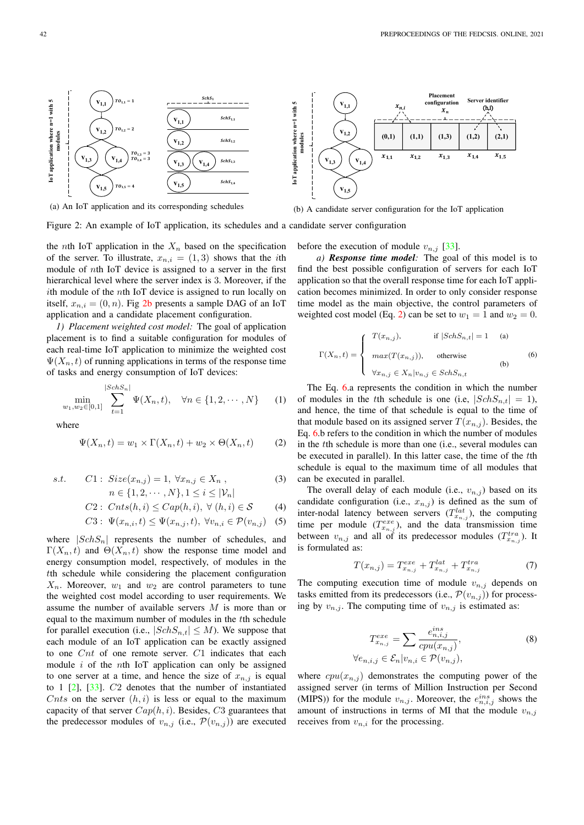

(a) An IoT application and its corresponding schedules

(b) A candidate server configuration for the IoT application

Figure 2: An example of IoT application, its schedules and a candidate server configuration

the *n*th IoT application in the  $X_n$  based on the specification of the server. To illustrate,  $x_{n,i} = (1,3)$  shows that the *i*th module of nth IoT device is assigned to a server in the first hierarchical level where the server index is 3. Moreover, if the ith module of the nth IoT device is assigned to run locally on itself,  $x_{n,i} = (0, n)$ . Fig 2b presents a sample DAG of an IoT application and a candidate placement configuration.

*1) Placement weighted cost model:* The goal of application placement is to find a suitable configuration for modules of each real-time IoT application to minimize the weighted cost  $\Psi(X_n, t)$  of running applications in terms of the response time of tasks and energy consumption of IoT devices:

$$
\min_{w_1, w_2 \in [0,1]} \sum_{t=1}^{|SchS_n|} \Psi(X_n, t), \quad \forall n \in \{1, 2, \cdots, N\} \qquad (1)
$$

where

$$
\Psi(X_n, t) = w_1 \times \Gamma(X_n, t) + w_2 \times \Theta(X_n, t) \tag{2}
$$

s.t. 
$$
C1: Size(x_{n,j}) = 1, \forall x_{n,j} \in X_n
$$
,  
\n $n \in \{1, 2, \cdots, N\}, 1 \le i \le |\mathcal{V}_n|$  (3)

$$
C2: \text{Crts}(h, i) \le \text{Cap}(h, i), \ \forall \ (h, i) \in \mathcal{S} \tag{4}
$$

$$
C3: \Psi(x_{n,i}, t) \le \Psi(x_{n,j}, t), \ \forall v_{n,i} \in \mathcal{P}(v_{n,j}) \quad (5)
$$

where  $|SchS_n|$  represents the number of schedules, and  $\Gamma(X_n, t)$  and  $\Theta(X_n, t)$  show the response time model and energy consumption model, respectively, of modules in the tth schedule while considering the placement configuration  $X_n$ . Moreover,  $w_1$  and  $w_2$  are control parameters to tune the weighted cost model according to user requirements. We assume the number of available servers M is more than or equal to the maximum number of modules in the tth schedule for parallel execution (i.e.,  $|SchS_{n,t}| \leq M$ ). We suppose that each module of an IoT application can be exactly assigned to one Cnt of one remote server. C1 indicates that each module  $i$  of the *n*th IoT application can only be assigned to one server at a time, and hence the size of  $x_{n,j}$  is equal to 1 [2], [33]. C2 denotes that the number of instantiated Cnts on the server  $(h, i)$  is less or equal to the maximum capacity of that server  $Cap(h, i)$ . Besides, C3 guarantees that the predecessor modules of  $v_{n,j}$  (i.e.,  $\mathcal{P}(v_{n,j})$ ) are executed

before the execution of module  $v_{n,j}$  [33].

*a) Response time model:* The goal of this model is to find the best possible configuration of servers for each IoT application so that the overall response time for each IoT application becomes minimized. In order to only consider response time model as the main objective, the control parameters of weighted cost model (Eq. 2) can be set to  $w_1 = 1$  and  $w_2 = 0$ .

$$
\Gamma(X_n, t) = \begin{cases}\nT(x_{n,j}), & \text{if } |SchS_{n,t}| = 1 \quad \text{(a)} \\
max(T(x_{n,j})), & \text{otherwise} \\
\forall x_{n,j} \in X_n | v_{n,j} \in SchS_{n,t}\n\end{cases}
$$
\n(6)

The Eq. 6.a represents the condition in which the number of modules in the tth schedule is one (i.e,  $|SchS_{n,t}| = 1$ ), and hence, the time of that schedule is equal to the time of that module based on its assigned server  $T(x_{n,j})$ . Besides, the Eq. 6.b refers to the condition in which the number of modules in the tth schedule is more than one (i.e., several modules can be executed in parallel). In this latter case, the time of the tth schedule is equal to the maximum time of all modules that can be executed in parallel.

The overall delay of each module (i.e.,  $v_{n,j}$ ) based on its candidate configuration (i.e.,  $x_{n,j}$ ) is defined as the sum of inter-nodal latency between servers  $(T_{x_{n,j}}^{lat})$ , the computing time per module  $(T_{x_{n,j}}^{exe})$ , and the data transmission time between  $v_{n,j}$  and all of its predecessor modules  $(T_{x_{n,j}}^{tra})$ . It is formulated as:

$$
T(x_{n,j}) = T_{x_{n,j}}^{exe} + T_{x_{n,j}}^{lat} + T_{x_{n,j}}^{tra}
$$
 (7)

The computing execution time of module  $v_{n,j}$  depends on tasks emitted from its predecessors (i.e.,  $\mathcal{P}(v_{n,j})$ ) for processing by  $v_{n,j}$ . The computing time of  $v_{n,j}$  is estimated as:

$$
T_{x_{n,j}}^{exe} = \sum \frac{e_{n,i,j}^{ins}}{cpu(x_{n,j})},
$$
  
\n
$$
\forall e_{n,i,j} \in \mathcal{E}_n | v_{n,i} \in \mathcal{P}(v_{n,j}),
$$
\n(8)

where  $cpu(x_{n,j})$  demonstrates the computing power of the assigned server (in terms of Million Instruction per Second (MIPS)) for the module  $v_{n,j}$ . Moreover, the  $e_{n,i,j}^{ins}$  shows the amount of instructions in terms of MI that the module  $v_{n,j}$ receives from  $v_{n,i}$  for the processing.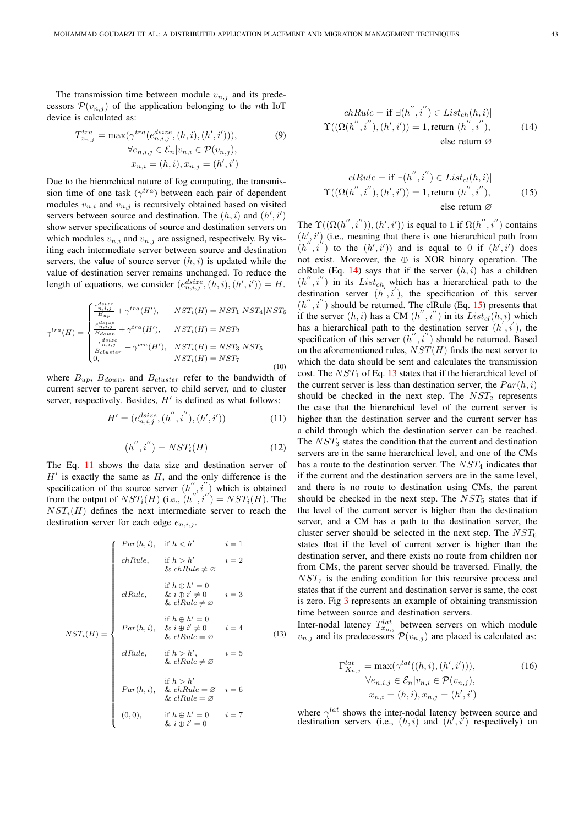The transmission time between module  $v_{n,j}$  and its predecessors  $\mathcal{P}(v_{n,j})$  of the application belonging to the *n*th IoT device is calculated as:

$$
T_{x_{n,j}}^{tra} = \max(\gamma^{tra}(e_{n,i,j}^{disize}, (h,i), (h',i'))),
$$
  
\n
$$
\forall e_{n,i,j} \in \mathcal{E}_n | v_{n,i} \in \mathcal{P}(v_{n,j}),
$$
  
\n
$$
x_{n,i} = (h,i), x_{n,j} = (h',i')
$$
\n(9)

Due to the hierarchical nature of fog computing, the transmission time of one task  $(\gamma^{tra})$  between each pair of dependent modules  $v_{n,i}$  and  $v_{n,j}$  is recursively obtained based on visited servers between source and destination. The  $(h, i)$  and  $(h', i')$ show server specifications of source and destination servers on which modules  $v_{n,i}$  and  $v_{n,j}$  are assigned, respectively. By visiting each intermediate server between source and destination servers, the value of source server  $(h, i)$  is updated while the value of destination server remains unchanged. To reduce the length of equations, we consider  $(e^{disize}_{n,i,j}, (h,i), (h',i')) = H$ .

$$
\gamma^{tra}(H) = \begin{cases}\n\frac{e_{n, i, j}^{dist}}{B_{up}} + \gamma^{tra}(H'), & NST_i(H) = NST_1|NST_4|NST_6 \\
\frac{e_{n, i, j}^{dist}}{B_{down}} + \gamma^{tra}(H'), & NST_i(H) = NST_2 \\
\frac{e_{n, i, j}^{dist}}{B_{cluster}} + \gamma^{tra}(H'), & NST_i(H) = NST_3|NST_5 \\
0, & NST_i(H) = NST_7\n\end{cases}
$$
\n(10)

where  $B_{up}$ ,  $B_{down}$ , and  $B_{cluster}$  refer to the bandwidth of current server to parent server, to child server, and to cluster server, respectively. Besides,  $H'$  is defined as what follows:

$$
H' = (e_{n,i,j}^{disize}, (h'',i''), (h',i'))
$$
\n(11)

$$
(h'', i'') = NST_i(H) \tag{12}
$$

The Eq. 11 shows the data size and destination server of  $H'$  is exactly the same as  $H$ , and the only difference is the specification of the source server  $(h'', i'')$  which is obtained from the output of  $NST_i(H)$  (i.e.,  $(h''', i'') = NSF_i(H)$ . The  $NST_i(H)$  defines the next intermediate server to reach the destination server for each edge  $e_{n,i,j}$ .

$$
NST_i(H) = \begin{cases} Par(h, i), & \text{if } h < h' & i = 1 \\ \text{chRule}, & \text{if } h > h' & i = 2 \\ \& \text{chRule} \neq \varnothing & i = 2 \\ \text{if } h \oplus h' = 0 & i = 3 \\ \& i \oplus i' \neq 0 & i = 3 \end{cases}
$$
\n
$$
NST_i(H) = \begin{cases} Par(h, i), & \& i \oplus i' \neq 0 \\ Pr(h, i), & \& i \oplus i' \neq 0 \\ \& cIRule = \varnothing \\ \text{clRule}, & \text{if } h > h', & i = 5 \\ \& cIRule = \varnothing & i = 6 \\ \& cIRule = \varnothing \\ \& cIRule = \varnothing \\ \& cIRule = \varnothing \\ \& cIRule = \varnothing \\ \& cIRule = \varnothing \\ \& cIRule = \varnothing \\ \& i \oplus i' = 0 \end{cases} \quad i = 7
$$

$$
chRule = \text{if } \exists (h'', i'') \in List_{ch}(h, i) |
$$

$$
\Upsilon((\Omega(h'', i''), (h', i')) = 1, \text{return } (h'', i''),
$$

$$
\text{else return } \varnothing
$$

$$
clRule = \text{if } \exists (h'', i'') \in List_{cl}(h, i)]
$$
  

$$
\Upsilon((\Omega(h'', i''), (h', i')) = 1, \text{return } (h'', i''),
$$
  
else return  $\varnothing$ 

The  $\Upsilon((\Omega(h'',i'')), (h',i'))$  is equal to 1 if  $\Omega(h'',i'')$  contains  $(h', i')$  (i.e., meaning that there is one hierarchical path from  $(h'', i'')$  to the  $(h', i')$  and is equal to 0 if  $(h', i')$  does not exist. Moreover, the  $\oplus$  is XOR binary operation. The chRule (Eq. 14) says that if the server  $(h, i)$  has a children  $(h'', i'')$  in its List<sub>ch</sub> which has a hierarchical path to the destination server  $(h', i')$ , the specification of this server  $(h'', i'')$  should be returned. The clRule (Eq. 15) presents that if the server  $(h, i)$  has a CM  $(h'', i'')$  in its  $List_{cl}(h, i)$  which has a hierarchical path to the destination server  $(h', i')$ , the specification of this server  $(h'', i'')$  should be returned. Based on the aforementioned rules,  $NST(H)$  finds the next server to which the data should be sent and calculates the transmission cost. The  $NST_1$  of Eq. 13 states that if the hierarchical level of the current server is less than destination server, the  $Par(h, i)$ should be checked in the next step. The  $NST_2$  represents the case that the hierarchical level of the current server is higher than the destination server and the current server has a child through which the destination server can be reached. The  $NST_3$  states the condition that the current and destination servers are in the same hierarchical level, and one of the CMs has a route to the destination server. The  $NST<sub>4</sub>$  indicates that if the current and the destination servers are in the same level, and there is no route to destination using CMs, the parent should be checked in the next step. The  $NST_5$  states that if the level of the current server is higher than the destination server, and a CM has a path to the destination server, the cluster server should be selected in the next step. The  $NST<sub>6</sub>$ states that if the level of current server is higher than the destination server, and there exists no route from children nor from CMs, the parent server should be traversed. Finally, the  $NST<sub>7</sub>$  is the ending condition for this recursive process and states that if the current and destination server is same, the cost is zero. Fig 3 represents an example of obtaining transmission time between source and destination servers.

Inter-nodal latency  $T_{x_{n,j}}^{lat}$  between servers on which module  $v_{n,j}$  and its predecessors  $\mathcal{P}(v_{n,j})$  are placed is calculated as:

$$
\Gamma_{X_{n,j}}^{lat} = \max(\gamma^{lat}((h, i), (h', i'))),
$$
  
\n
$$
\forall e_{n,i,j} \in \mathcal{E}_n | v_{n,i} \in \mathcal{P}(v_{n,j}),
$$
  
\n
$$
x_{n,i} = (h, i), x_{n,j} = (h', i')
$$
 (16)

where  $\gamma^{lat}$  shows the inter-nodal latency between source and destination servers (i.e.,  $(h, i)$  and  $(h', i')$  respectively) on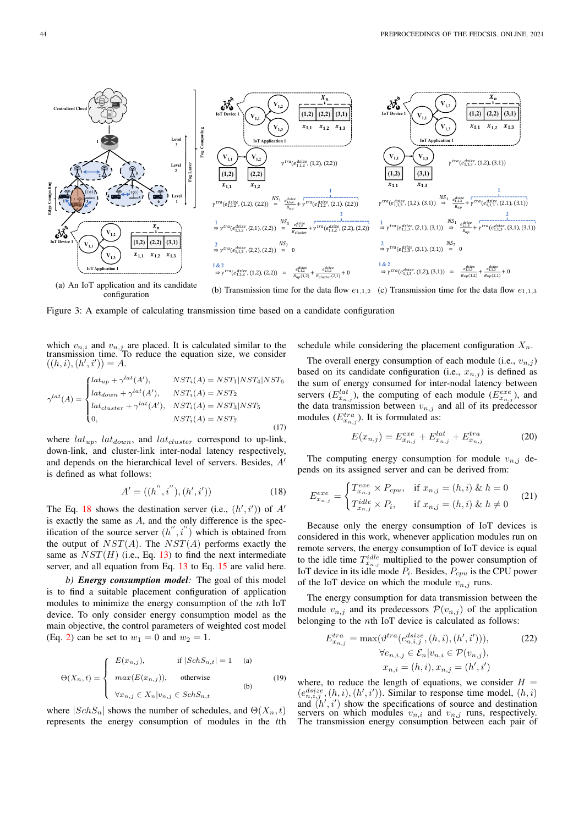

configuration (b) Transmission time for the data flow  $e_{1,1,2}$  (c) Transmission time for the data flow  $e_{1,1,3}$ 

Figure 3: A example of calculating transmission time based on a candidate configuration

which  $v_{n,i}$  and  $v_{n,j}$  are placed. It is calculated similar to the transmission time. To reduce the equation size, we consider  $((h, i), (h', i')) = A.$ 

$$
\gamma^{lat}(A) = \begin{cases}\nlat_{up} + \gamma^{lat}(A'), & NST_i(A) = NST_1|NST_4|NST_6 \\
lat_{down} + \gamma^{lat}(A'), & NST_i(A) = NST_2 \\
lat_{cluster} + \gamma^{lat}(A'), & NST_i(A) = NST_3|NST_5 \\
0, & NST_i(A) = NST_7\n\end{cases}
$$
\n(17)

where  $lat_{up}$ ,  $lat_{down}$ , and  $lat_{cluster}$  correspond to up-link, down-link, and cluster-link inter-nodal latency respectively, and depends on the hierarchical level of servers. Besides, A′ is defined as what follows:

$$
A' = ((h'', i''), (h', i'))
$$
\n(18)

The Eq. 18 shows the destination server (i.e.,  $(h', i')$ ) of  $A'$ is exactly the same as  $A$ , and the only difference is the specification of the source server  $(h'', i'')$  which is obtained from the output of  $NST(A)$ . The  $NST(A)$  performs exactly the same as  $NST(H)$  (i.e., Eq. 13) to find the next intermediate server, and all equation from Eq. 13 to Eq. 15 are valid here.

*b) Energy consumption model:* The goal of this model is to find a suitable placement configuration of application modules to minimize the energy consumption of the nth IoT device. To only consider energy consumption model as the main objective, the control parameters of weighted cost model (Eq. 2) can be set to  $w_1 = 0$  and  $w_2 = 1$ .

$$
\Theta(X_n, t) = \begin{cases}\nE(x_{n,j}), & \text{if } |SchS_{n,t}| = 1 \quad \text{(a)} \\
max(E(x_{n,j})), & \text{otherwise} \\
\forall x_{n,j} \in X_n | v_{n,j} \in SchS_{n,t}\n\end{cases}
$$
\n(19)

where  $|SchS_n|$  shows the number of schedules, and  $\Theta(X_n, t)$ represents the energy consumption of modules in the tth schedule while considering the placement configuration  $X_n$ .

The overall energy consumption of each module (i.e.,  $v_{n,j}$ ) based on its candidate configuration (i.e.,  $x_{n,j}$ ) is defined as the sum of energy consumed for inter-nodal latency between servers  $(E_{x_{n,j}}^{lat})$ , the computing of each module  $(E_{x_{n,j}}^{exe})$ , and the data transmission between  $v_{n,j}$  and all of its predecessor modules  $(E_{x_{n,j}}^{tra})$ . It is formulated as:

$$
E(x_{n,j}) = E_{x_{n,j}}^{exe} + E_{x_{n,j}}^{lat} + E_{x_{n,j}}^{tra}
$$
 (20)

The computing energy consumption for module  $v_{n,i}$  depends on its assigned server and can be derived from:

$$
E_{x_{n,j}}^{exe} = \begin{cases} T_{x_{n,j}}^{exe} \times P_{cpu}, & \text{if } x_{n,j} = (h,i) \& h = 0\\ T_{x_{n,j}}^{idle} \times P_i, & \text{if } x_{n,j} = (h,i) \& h \neq 0 \end{cases}
$$
 (21)

Because only the energy consumption of IoT devices is considered in this work, whenever application modules run on remote servers, the energy consumption of IoT device is equal to the idle time  $T_{x_{n,j}}^{idle}$  multiplied to the power consumption of IoT device in its idle mode  $P_i$ . Besides,  $P_{cpu}$  is the CPU power of the IoT device on which the module  $v_{n,j}$  runs.

The energy consumption for data transmission between the module  $v_{n,j}$  and its predecessors  $\mathcal{P}(v_{n,j})$  of the application belonging to the  $n$ th IoT device is calculated as follows:

$$
E_{x_{n,j}}^{tra} = \max(\vartheta_{n,i,j}^{tra}(e_{n,i,j}^{disie}, (h,i), (h',i'))),
$$
  
\n
$$
\forall e_{n,i,j} \in \mathcal{E}_n | v_{n,i} \in \mathcal{P}(v_{n,j}),
$$
  
\n
$$
x_{n,i} = (h,i), x_{n,j} = (h',i')
$$
 (22)

where, to reduce the length of equations, we consider  $H =$  $(e_{n,i,j}^{disize},(h,i),(h',i'))$ . Similar to response time model,  $(h,i)$ and  $(h', i')$  show the specifications of source and destination servers on which modules  $v_{n,i}$  and  $v_{n,j}$  runs, respectively. The transmission energy consumption between each pair of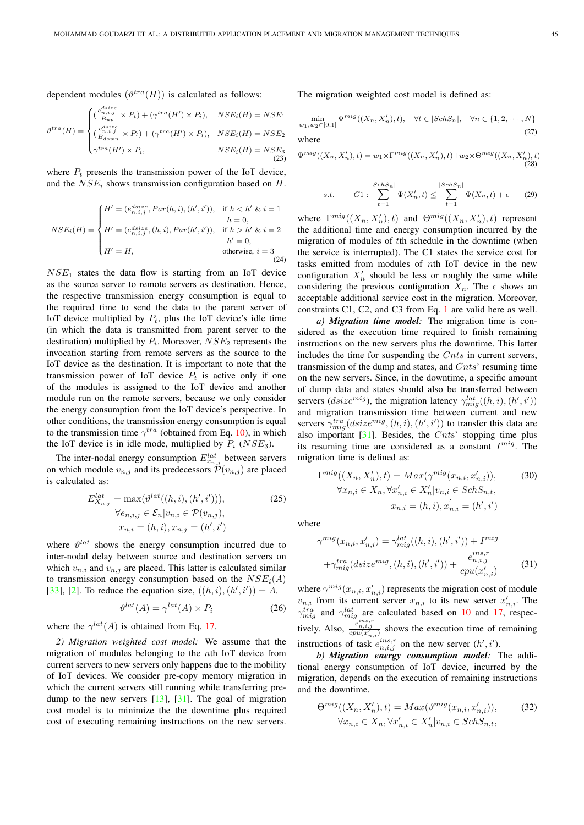dependent modules  $(\vartheta^{tra}(H))$  is calculated as follows:

$$
\vartheta^{tra}(H) = \begin{cases}\n(\frac{e_{n,i,j}^{dis}}{B_{up}} \times P_t) + (\gamma^{tra}(H') \times P_i), & NSE_i(H) = NSE_1 \\
(\frac{e_{n,i,j}^{dis}}{B_{down}} \times P_t) + (\gamma^{tra}(H') \times P_i), & NSE_i(H) = NSE_2 \\
\gamma^{tra}(H') \times P_i, & NSE_i(H) = NSE_3\n\end{cases}
$$
\n(23)

where  $P_t$  presents the transmission power of the IoT device, and the  $NSE_i$  shows transmission configuration based on H.

$$
NSE_i(H) = \begin{cases} H' = (e_{n,i,j}^{disize}, Par(h,i), (h',i')), & \text{if } h < h' \& i = 1 \\ H' = (e_{n,i,j}^{disize}, (h,i), Par(h',i')), & \text{if } h > h' \& i = 2 \\ H' = H, & \text{otherwise, } i = 3 \\ H' = H, & \text{otherwise, } i = 3 \end{cases}
$$

 $NSE<sub>1</sub>$  states the data flow is starting from an IoT device as the source server to remote servers as destination. Hence, the respective transmission energy consumption is equal to the required time to send the data to the parent server of IoT device multiplied by  $P_t$ , plus the IoT device's idle time (in which the data is transmitted from parent server to the destination) multiplied by  $P_i$ . Moreover,  $NSE_2$  represents the invocation starting from remote servers as the source to the IoT device as the destination. It is important to note that the transmission power of IoT device  $P_t$  is active only if one of the modules is assigned to the IoT device and another module run on the remote servers, because we only consider the energy consumption from the IoT device's perspective. In other conditions, the transmission energy consumption is equal to the transmission time  $\gamma^{tra}$  (obtained from Eq. 10), in which the IoT device is in idle mode, multiplied by  $P_i$  (NSE<sub>3</sub>).

The inter-nodal energy consumption  $E_{x_{n,j}}^{lat}$  between servers on which module  $v_{n,j}$  and its predecessors  $\mathcal{P}(v_{n,j})$  are placed is calculated as:

$$
E_{X_{n,j}}^{lat} = \max(\vartheta^{lat}((h, i), (h', i'))),
$$
  
\n
$$
\forall e_{n,i,j} \in \mathcal{E}_n | v_{n,i} \in \mathcal{P}(v_{n,j}),
$$
  
\n
$$
x_{n,i} = (h, i), x_{n,j} = (h', i')
$$
 (25)

where  $\vartheta^{lat}$  shows the energy consumption incurred due to inter-nodal delay between source and destination servers on which  $v_{n,i}$  and  $v_{n,j}$  are placed. This latter is calculated similar to transmission energy consumption based on the  $NSE_i(A)$ [33], [2]. To reduce the equation size,  $((h, i), (h', i')) = A$ .

$$
\vartheta^{lat}(A) = \gamma^{lat}(A) \times P_i \tag{26}
$$

where the  $\gamma^{lat}(A)$  is obtained from Eq. 17.

*2) Migration weighted cost model:* We assume that the migration of modules belonging to the nth IoT device from current servers to new servers only happens due to the mobility of IoT devices. We consider pre-copy memory migration in which the current servers still running while transferring predump to the new servers  $[13]$ ,  $[31]$ . The goal of migration cost model is to minimize the the downtime plus required cost of executing remaining instructions on the new servers.

The migration weighted cost model is defined as:

$$
\min_{w_1, w_2 \in [0,1]} \Psi^{mig}((X_n, X'_n), t), \quad \forall t \in |SchS_n|, \quad \forall n \in \{1, 2, \cdots, N\}
$$
\n(27)

where

$$
\Psi^{mig}((X_n, X'_n), t) = w_1 \times \Gamma^{mig}((X_n, X'_n), t) + w_2 \times \Theta^{mig}((X_n, X'_n), t)
$$
\n(28)

$$
s.t. \tC1: \sum_{t=1}^{|SchS_n|} \Psi(X'_n, t) \le \sum_{t=1}^{|SchS_n|} \Psi(X_n, t) + \epsilon \t(29)
$$

where  $\Gamma^{mig}((X_n, X'_n), t)$  and  $\Theta^{mig}((X_n, X'_n), t)$  represent the additional time and energy consumption incurred by the migration of modules of tth schedule in the downtime (when the service is interrupted). The C1 states the service cost for tasks emitted from modules of nth IoT device in the new configuration  $X'_n$  should be less or roughly the same while considering the previous configuration  $X_n$ . The  $\epsilon$  shows an acceptable additional service cost in the migration. Moreover, constraints C1, C2, and C3 from Eq. 1 are valid here as well.

*a) Migration time model:* The migration time is considered as the execution time required to finish remaining instructions on the new servers plus the downtime. This latter includes the time for suspending the Cnts in current servers, transmission of the dump and states, and  $Cnts'$  resuming time on the new servers. Since, in the downtime, a specific amount of dump data and states should also be transferred between servers ( $disize^{mig}$ ), the migration latency  $\gamma_{mig}^{lat}((h,i),(h',i'))$ and migration transmission time between current and new servers  $\gamma_{mig}^{tra}(disize^{mig},(h,i),(h',i'))$  to transfer this data are also important  $[31]$ . Besides, the Cnts' stopping time plus its resuming time are considered as a constant  $I^{mig}$ . The migration time is defined as:

$$
\Gamma^{mig}((X_n, X'_n), t) = Max(\gamma^{mig}(x_{n,i}, x'_{n,i})),
$$
\n
$$
\forall x_{n,i} \in X_n, \forall x'_{n,i} \in X'_n | v_{n,i} \in SchS_{n,t},
$$
\n
$$
x_{n,i} = (h, i), x'_{n,i} = (h', i')
$$
\n(30)

where

$$
\gamma^{mig}(x_{n,i}, x'_{n,i}) = \gamma^{lat}_{mig}((h, i), (h', i')) + I^{mig} + \gamma^{tra}_{mig}(disize^{mig}, (h, i), (h', i')) + \frac{e^{ins, r}_{n,i,j}}{cpu(x'_{n,i})}
$$
(31)

where  $\gamma^{mig}(x_{n,i}, x'_{n,i})$  represents the migration cost of module  $v_{n,i}$  from its current server  $x_{n,i}$  to its new server  $x'_{n,i}$ . The  $\gamma_{mig}^{tra}$  and  $\gamma_{mig}^{lat}$  are calculated based on 10 and 17, respectively. Also,  $\frac{e_{n,i,j}^{i,n,s,r}}{c_{\text{pu}}(x'_{n,i})}$  shows the execution time of remaining instructions of task  $e_{n,i,j}^{ins,r}$  on the new server  $(h', i')$ .

*b) Migration energy consumption model:* The additional energy consumption of IoT device, incurred by the migration, depends on the execution of remaining instructions and the downtime.

$$
\Theta^{mig}((X_n, X'_n), t) = Max(\vartheta^{mig}(x_{n,i}, x'_{n,i})),
$$
  

$$
\forall x_{n,i} \in X_n, \forall x'_{n,i} \in X'_n | v_{n,i} \in SchS_{n,t},
$$
 (32)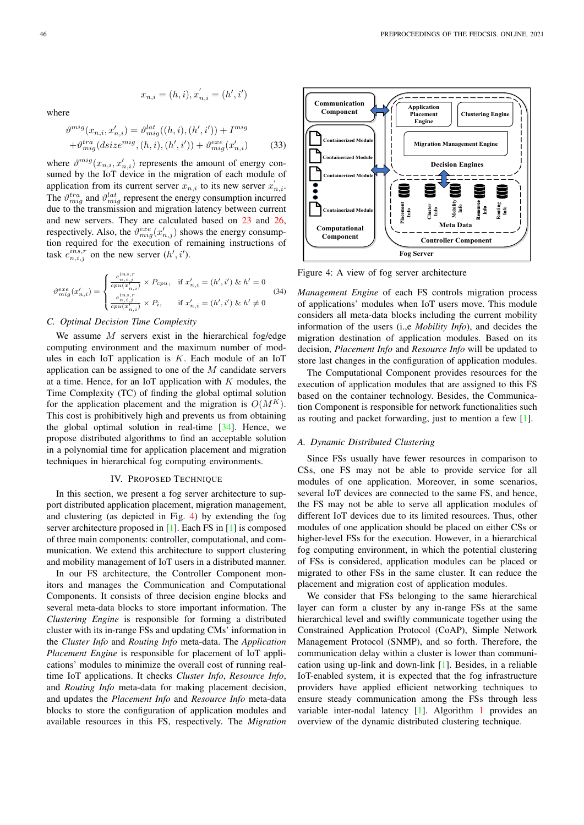$$
x_{n,i} = (h,i), x^{'}_{n,i} = (h',i')
$$

where

$$
\vartheta^{mig}(x_{n,i}, x'_{n,i}) = \vartheta^{lat}_{mig}((h, i), (h', i')) + I^{mig} + \vartheta^{tra}_{mig}(disize^{mig}, (h, i), (h', i')) + \vartheta^{exe}_{mig}(x'_{n,i})
$$
(33)

where  $\vartheta^{mig}(x_{n,i}, x'_{n,i})$  represents the amount of energy consumed by the IoT device in the migration of each module of application from its current server  $x_{n,i}$  to its new server  $x'_{n,i}$ . The  $\vartheta_{mig}^{tra}$  and  $\vartheta_{mig}^{lat}$  represent the energy consumption incurred due to the transmission and migration latency between current and new servers. They are calculated based on 23 and 26, respectively. Also, the  $\vartheta_{mig}^{exe}(x'_{n,j})$  shows the energy consumption required for the execution of remaining instructions of task  $e_{n,i,j}^{i\hat{n}s,r}$  on the new server  $(h', i')$ .

$$
\vartheta _{mig}^{exe}(x_{n,i}') = \begin{cases} \frac{e_{n,i,j}^{ins,j}}{cpu(x_{n,i}')}\times P_{cpu}, & \text{if } x_{n,i}' = (h',i')\ \&\ h' = 0 \\ \frac{e_{n,i,j}^{ins,j}}{cpu(x_{n,i}')}\times P_i, & \text{if } x_{n,i}' = (h',i')\ \&\ h' \neq 0 \end{cases} \eqno{(34)}
$$

# *C. Optimal Decision Time Complexity*

We assume  $M$  servers exist in the hierarchical fog/edge computing environment and the maximum number of modules in each IoT application is  $K$ . Each module of an IoT application can be assigned to one of the M candidate servers at a time. Hence, for an IoT application with  $K$  modules, the Time Complexity (TC) of finding the global optimal solution for the application placement and the migration is  $O(M^K)$ . This cost is prohibitively high and prevents us from obtaining the global optimal solution in real-time [34]. Hence, we propose distributed algorithms to find an acceptable solution in a polynomial time for application placement and migration techniques in hierarchical fog computing environments.

#### IV. PROPOSED TECHNIQUE

In this section, we present a fog server architecture to support distributed application placement, migration management, and clustering (as depicted in Fig. 4) by extending the fog server architecture proposed in [1]. Each FS in [1] is composed of three main components: controller, computational, and communication. We extend this architecture to support clustering and mobility management of IoT users in a distributed manner.

In our FS architecture, the Controller Component monitors and manages the Communication and Computational Components. It consists of three decision engine blocks and several meta-data blocks to store important information. The *Clustering Engine* is responsible for forming a distributed cluster with its in-range FSs and updating CMs' information in the *Cluster Info* and *Routing Info* meta-data. The *Application Placement Engine* is responsible for placement of IoT applications' modules to minimize the overall cost of running realtime IoT applications. It checks *Cluster Info*, *Resource Info*, and *Routing Info* meta-data for making placement decision, and updates the *Placement Info* and *Resource Info* meta-data blocks to store the configuration of application modules and available resources in this FS, respectively. The *Migration*



Figure 4: A view of fog server architecture

*Management Engine* of each FS controls migration process of applications' modules when IoT users move. This module considers all meta-data blocks including the current mobility information of the users (i.,e *Mobility Info*), and decides the migration destination of application modules. Based on its decision, *Placement Info* and *Resource Info* will be updated to store last changes in the configuration of application modules.

The Computational Component provides resources for the execution of application modules that are assigned to this FS based on the container technology. Besides, the Communication Component is responsible for network functionalities such as routing and packet forwarding, just to mention a few [1].

#### *A. Dynamic Distributed Clustering*

Since FSs usually have fewer resources in comparison to CSs, one FS may not be able to provide service for all modules of one application. Moreover, in some scenarios, several IoT devices are connected to the same FS, and hence, the FS may not be able to serve all application modules of different IoT devices due to its limited resources. Thus, other modules of one application should be placed on either CSs or higher-level FSs for the execution. However, in a hierarchical fog computing environment, in which the potential clustering of FSs is considered, application modules can be placed or migrated to other FSs in the same cluster. It can reduce the placement and migration cost of application modules.

We consider that FSs belonging to the same hierarchical layer can form a cluster by any in-range FSs at the same hierarchical level and swiftly communicate together using the Constrained Application Protocol (CoAP), Simple Network Management Protocol (SNMP), and so forth. Therefore, the communication delay within a cluster is lower than communication using up-link and down-link [1]. Besides, in a reliable IoT-enabled system, it is expected that the fog infrastructure providers have applied efficient networking techniques to ensure steady communication among the FSs through less variable inter-nodal latency [1]. Algorithm 1 provides an overview of the dynamic distributed clustering technique.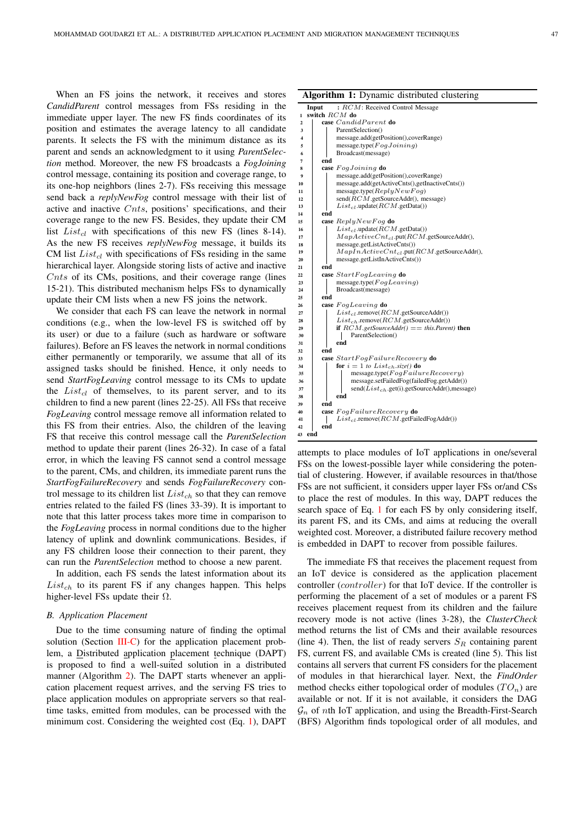$\frac{21}{22}$ 

 $\frac{25}{26}$ 

 $32$ 

39

 $42$  $43$ 

When an FS joins the network, it receives and stores *CandidParent* control messages from FSs residing in the immediate upper layer. The new FS finds coordinates of its position and estimates the average latency to all candidate parents. It selects the FS with the minimum distance as its parent and sends an acknowledgment to it using *ParentSelection* method. Moreover, the new FS broadcasts a *FogJoining* control message, containing its position and coverage range, to its one-hop neighbors (lines 2-7). FSs receiving this message send back a *replyNewFog* control message with their list of active and inactive Cnts, positions' specifications, and their coverage range to the new FS. Besides, they update their CM list  $List_{cl}$  with specifications of this new FS (lines 8-14). As the new FS receives *replyNewFog* message, it builds its CM list  $List_{cl}$  with specifications of FSs residing in the same hierarchical layer. Alongside storing lists of active and inactive Cnts of its CMs, positions, and their coverage range (lines 15-21). This distributed mechanism helps FSs to dynamically update their CM lists when a new FS joins the network.

We consider that each FS can leave the network in normal conditions (e.g., when the low-level FS is switched off by its user) or due to a failure (such as hardware or software failures). Before an FS leaves the network in normal conditions either permanently or temporarily, we assume that all of its assigned tasks should be finished. Hence, it only needs to send *StartFogLeaving* control message to its CMs to update the  $List_{cl}$  of themselves, to its parent server, and to its children to find a new parent (lines 22-25). All FSs that receive *FogLeaving* control message remove all information related to this FS from their entries. Also, the children of the leaving FS that receive this control message call the *ParentSelection* method to update their parent (lines 26-32). In case of a fatal error, in which the leaving FS cannot send a control message to the parent, CMs, and children, its immediate parent runs the *StartFogFailureRecovery* and sends *FogFailureRecovery* control message to its children list  $List_{ch}$  so that they can remove entries related to the failed FS (lines 33-39). It is important to note that this latter process takes more time in comparison to the *FogLeaving* process in normal conditions due to the higher latency of uplink and downlink communications. Besides, if any FS children loose their connection to their parent, they can run the *ParentSelection* method to choose a new parent.

In addition, each FS sends the latest information about its  $List<sub>ch</sub>$  to its parent FS if any changes happen. This helps higher-level FSs update their  $\Omega$ .

# *B. Application Placement*

Due to the time consuming nature of finding the optimal solution (Section III-C) for the application placement problem, a Distributed application placement technique (DAPT) is proposed to find a well-suited solution in a distributed manner (Algorithm 2). The DAPT starts whenever an application placement request arrives, and the serving FS tries to place application modules on appropriate servers so that realtime tasks, emitted from modules, can be processed with the minimum cost. Considering the weighted cost (Eq. 1), DAPT

|  | Algorithm 1: Dynamic distributed clustering |  |  |  |  |
|--|---------------------------------------------|--|--|--|--|
|--|---------------------------------------------|--|--|--|--|

|                         | Input  |     | $:RCM: Received Control$ Message                     |
|-------------------------|--------|-----|------------------------------------------------------|
| 1                       |        |     | switch RCM do                                        |
| $\overline{\mathbf{2}}$ |        |     | case <i>CandidParent</i> do                          |
| 3                       |        |     | ParentSelection()                                    |
| 4                       |        |     | message.add(getPosition(),coverRange)                |
| 5                       |        |     | message.type( $FogJoining$ )                         |
| 6                       |        |     | Broadcast(message)                                   |
| 7                       |        | end |                                                      |
| 8                       |        |     | case FogJoining do                                   |
| 9                       |        |     | message.add(getPosition(),coverRange)                |
| 10                      |        |     | message.add(getActiveCnts(),getInactiveCnts())       |
| 11                      |        |     | message.type( $ReplyNewFog$ )                        |
| 12                      |        |     | send(RCM.getSourceAddr(), message)                   |
| 13                      |        |     | $List_{cl}$ .update $(RCM$ .getData())               |
| 14                      |        | end |                                                      |
| 15                      |        |     | case $ReplyNewFog$ do                                |
| 16                      |        |     | $List_{cl}$ .update $(RCM$ .getData())               |
| 17                      |        |     | $MapActiveCnt_{cl}.put(RCM.getSourceAddr),$          |
| 18                      |        |     | message.getListActiveCnts())                         |
| 19                      |        |     | $MapInActiveCnt_{cl}.put(RCM.getSourceAddr),$        |
| 20                      |        |     | message.getListInActiveCnts())                       |
| 21                      |        | end |                                                      |
| 22                      |        |     | case StartFogLeaving do                              |
| 23                      |        |     | message.type( $FogLeaving$ )                         |
| 24                      |        |     | Broadcast(message)                                   |
| 25                      |        | end |                                                      |
| 26                      |        |     | case FogLeaving do                                   |
| 27                      |        |     | $List_{cl}$ .remove( $RCM$ .getSourceAddr())         |
| 28                      |        |     | $List_{ch}$ .remove( $RCM$ .getSourceAddr())         |
| 29                      |        |     | <b>if</b> $RCM.getSourceAddr() == this Parent)$ then |
| 30                      |        |     | ParentSelection()                                    |
| 31                      |        |     | end                                                  |
| 32                      |        | end |                                                      |
| 33                      |        |     | case StartFogFailureRecovery do                      |
| 34                      |        |     | for $i = 1$ to List <sub>ch</sub> .size() do         |
| 35                      |        |     | $message_type(FogFailureRecovery)$                   |
| 36                      |        |     | message.setFailedFog(failedFog.getAddr())            |
| 37                      |        |     | $send(List_{ch}.get(i).getSourceAddr(),message)$     |
| 38                      |        |     | end                                                  |
| 39                      |        | end |                                                      |
| 40                      |        |     | case FogFailureRecovery do                           |
| 41                      |        |     | $List_{cl}$ .remove $(RCM$ .getFailedFogAddr())      |
| 42                      | 43 end | end |                                                      |
|                         |        |     |                                                      |

attempts to place modules of IoT applications in one/several FSs on the lowest-possible layer while considering the potential of clustering. However, if available resources in that/those FSs are not sufficient, it considers upper layer FSs or/and CSs to place the rest of modules. In this way, DAPT reduces the search space of Eq. 1 for each FS by only considering itself, its parent FS, and its CMs, and aims at reducing the overall weighted cost. Moreover, a distributed failure recovery method is embedded in DAPT to recover from possible failures.

The immediate FS that receives the placement request from an IoT device is considered as the application placement controller (controller) for that IoT device. If the controller is performing the placement of a set of modules or a parent FS receives placement request from its children and the failure recovery mode is not active (lines 3-28), the *ClusterCheck* method returns the list of CMs and their available resources (line 4). Then, the list of ready servers  $S_R$  containing parent FS, current FS, and available CMs is created (line 5). This list contains all servers that current FS considers for the placement of modules in that hierarchical layer. Next, the *FindOrder* method checks either topological order of modules  $(TO_n)$  are available or not. If it is not available, it considers the DAG  $\mathcal{G}_n$  of nth IoT application, and using the Breadth-First-Search (BFS) Algorithm finds topological order of all modules, and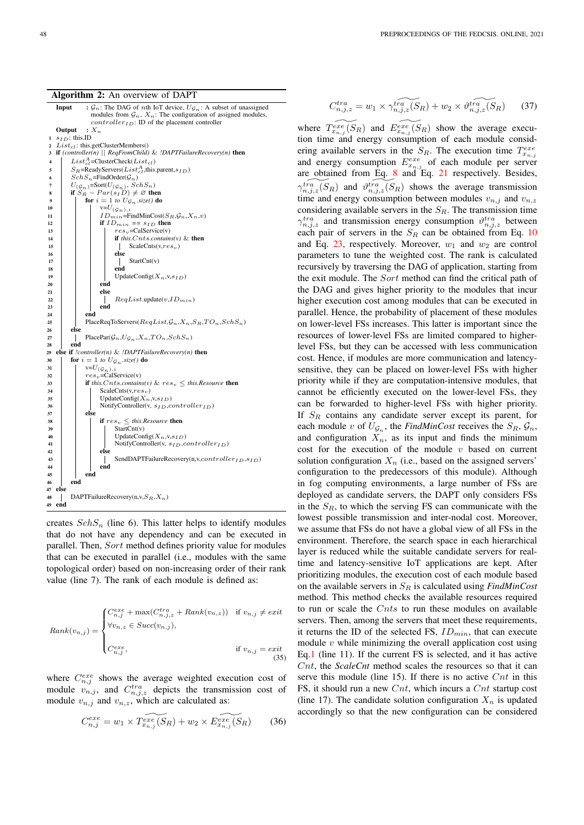#### Algorithm 2: An overview of DAPT



creates  $SchS_n$  (line 6). This latter helps to identify modules that do not have any dependency and can be executed in parallel. Then, Sort method defines priority value for modules that can be executed in parallel (i.e., modules with the same topological order) based on non-increasing order of their rank value (line 7). The rank of each module is defined as:

$$
Rank(v_{n,j}) = \begin{cases} C_{n,j}^{exe} + \max(C_{n,j,z}^{tra} + Rank(v_{n,z})) & \text{if } v_{n,j} \neq exit \\ \forall v_{n,z} \in Succ(v_{n,j}), \\ C_{n,j}^{exe}, & \text{if } v_{n,j} = exit \end{cases} \tag{35}
$$

where  $C_{n,j}^{exe}$  shows the average weighted execution cost of module  $v_{n,j}$ , and  $C_{n,j,z}^{tra}$  depicts the transmission cost of module  $v_{n,j}$  and  $v_{n,z}$ , which are calculated as:

$$
C_{n,j}^{exe} = w_1 \times \widetilde{T_{x_{n,j}}^{exe}(S_R)} + w_2 \times \widetilde{E_{x_{n,j}}^{exe}(S_R)} \tag{36}
$$

$$
C_{n,j,z}^{tra} = w_1 \times \gamma_{n,j,z}^{tra}(\overline{S_R}) + w_2 \times \vartheta_{n,j,z}^{tra}(\overline{S_R})
$$
 (37)

where  $\widetilde{T_{x_{n,j}}^{exc}(S_R)}$  and  $\widetilde{E_{x_{n,j}}^{exc}(S_R)}$  show the average execution time and energy consumption of each module considering available servers in the  $S_R$ . The execution time  $T_{x_{n,j}}^{exe}$ and energy consumption  $E_{x_{n,j}}^{exe}$  of each module per server are obtained from Eq.  $\frac{8}{3}$  and Eq. 21 respectively. Besides,  $\gamma_{n,j,z}^{tri}(S_R)$  and  $\vartheta_{n,j,z}^{tri}(S_R)$  shows the average transmission time and energy consumption between modules  $v_{n,j}$  and  $v_{n,z}$ considering available servers in the  $S_R$ . The transmission time  $\gamma_{n,j,z}^{tra}$  and transmission energy consumption  $\vartheta_{n,j,z}^{tra}$  between each pair of servers in the  $S_R$  can be obtained from Eq. 10 and Eq. 23, respectively. Moreover,  $w_1$  and  $w_2$  are control parameters to tune the weighted cost. The rank is calculated recursively by traversing the DAG of application, starting from the exit module. The Sort method can find the critical path of the DAG and gives higher priority to the modules that incur higher execution cost among modules that can be executed in parallel. Hence, the probability of placement of these modules on lower-level FSs increases. This latter is important since the resources of lower-level FSs are limited compared to higherlevel FSs, but they can be accessed with less communication cost. Hence, if modules are more communication and latencysensitive, they can be placed on lower-level FSs with higher priority while if they are computation-intensive modules, that cannot be efficiently executed on the lower-level FSs, they can be forwarded to higher-level FSs with higher priority. If  $S_R$  contains any candidate server except its parent, for each module v of  $U_{\mathcal{G}_n}$ , the *FindMinCost* receives the  $S_R$ ,  $\mathcal{G}_n$ , and configuration  $X_n$ , as its input and finds the minimum cost for the execution of the module  $v$  based on current solution configuration  $X_n$  (i.e., based on the assigned servers' configuration to the predecessors of this module). Although in fog computing environments, a large number of FSs are deployed as candidate servers, the DAPT only considers FSs in the  $S_R$ , to which the serving FS can communicate with the lowest possible transmission and inter-nodal cost. Moreover, we assume that FSs do not have a global view of all FSs in the environment. Therefore, the search space in each hierarchical layer is reduced while the suitable candidate servers for realtime and latency-sensitive IoT applications are kept. After prioritizing modules, the execution cost of each module based on the available servers in  $S_R$  is calculated using *FindMinCost* method. This method checks the available resources required to run or scale the  $Cnts$  to run these modules on available servers. Then, among the servers that meet these requirements, it returns the ID of the selected FS,  $ID_{min}$ , that can execute module  $v$  while minimizing the overall application cost using Eq.1 (line 11). If the current FS is selected, and it has active Cnt, the *ScaleCnt* method scales the resources so that it can serve this module (line 15). If there is no active  $Cnt$  in this FS, it should run a new  $Cnt$ , which incurs a  $Cnt$  startup cost (line 17). The candidate solution configuration  $X_n$  is updated accordingly so that the new configuration can be considered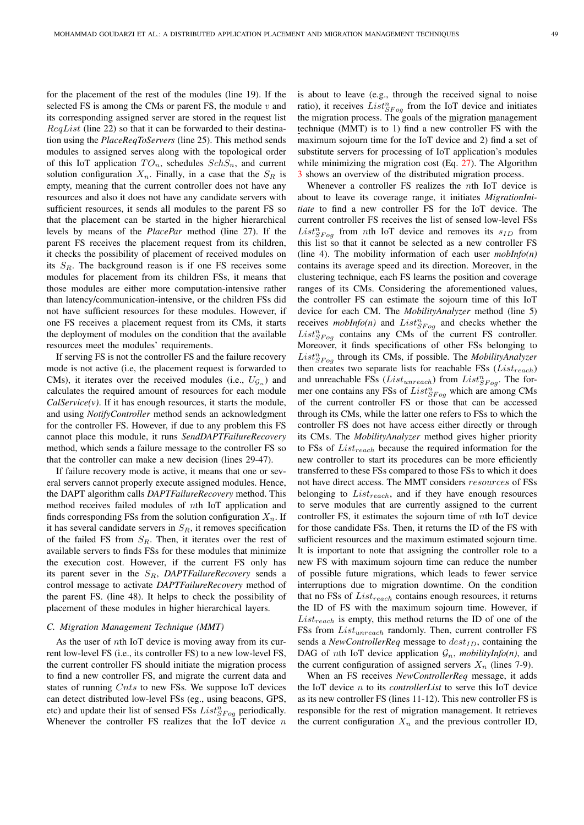for the placement of the rest of the modules (line 19). If the selected FS is among the CMs or parent FS, the module  $v$  and its corresponding assigned server are stored in the request list  $RegList$  (line 22) so that it can be forwarded to their destination using the *PlaceReqToServers* (line 25). This method sends modules to assigned serves along with the topological order of this IoT application  $TO_n$ , schedules  $SchS_n$ , and current solution configuration  $X_n$ . Finally, in a case that the  $S_R$  is empty, meaning that the current controller does not have any resources and also it does not have any candidate servers with sufficient resources, it sends all modules to the parent FS so that the placement can be started in the higher hierarchical levels by means of the *PlacePar* method (line 27). If the parent FS receives the placement request from its children, it checks the possibility of placement of received modules on its  $S_R$ . The background reason is if one FS receives some modules for placement from its children FSs, it means that those modules are either more computation-intensive rather than latency/communication-intensive, or the children FSs did not have sufficient resources for these modules. However, if one FS receives a placement request from its CMs, it starts the deployment of modules on the condition that the available resources meet the modules' requirements.

If serving FS is not the controller FS and the failure recovery mode is not active (i.e, the placement request is forwarded to CMs), it iterates over the received modules (i.e.,  $U_{\mathcal{G}_n}$ ) and calculates the required amount of resources for each module  $CalService(v)$ . If it has enough resources, it starts the module, and using *NotifyController* method sends an acknowledgment for the controller FS. However, if due to any problem this FS cannot place this module, it runs *SendDAPTFailureRecovery* method, which sends a failure message to the controller FS so that the controller can make a new decision (lines 29-47).

If failure recovery mode is active, it means that one or several servers cannot properly execute assigned modules. Hence, the DAPT algorithm calls *DAPTFailureRecovery* method. This method receives failed modules of nth IoT application and finds corresponding FSs from the solution configuration  $X_n$ . If it has several candidate servers in  $S_R$ , it removes specification of the failed FS from  $S_R$ . Then, it iterates over the rest of available servers to finds FSs for these modules that minimize the execution cost. However, if the current FS only has its parent sever in the S<sub>R</sub>, *DAPTFailureRecovery* sends a control message to activate *DAPTFailureRecovery* method of the parent FS. (line 48). It helps to check the possibility of placement of these modules in higher hierarchical layers.

# *C. Migration Management Technique (MMT)*

As the user of nth IoT device is moving away from its current low-level FS (i.e., its controller FS) to a new low-level FS, the current controller FS should initiate the migration process to find a new controller FS, and migrate the current data and states of running Cnts to new FSs. We suppose IoT devices can detect distributed low-level FSs (eg., using beacons, GPS, etc) and update their list of sensed FSs  $List_{SFog}^{n}$  periodically. Whenever the controller FS realizes that the IoT device  $n$  is about to leave (e.g., through the received signal to noise ratio), it receives  $List_{SFog}^{n}$  from the IoT device and initiates the migration process. The goals of the migration management technique (MMT) is to 1) find a new controller FS with the maximum sojourn time for the IoT device and 2) find a set of substitute servers for processing of IoT application's modules while minimizing the migration cost (Eq. 27). The Algorithm 3 shows an overview of the distributed migration process.

Whenever a controller FS realizes the nth IoT device is about to leave its coverage range, it initiates *MigrationInitiate* to find a new controller FS for the IoT device. The current controller FS receives the list of sensed low-level FSs  $List_{SFog}^{n}$  from nth IoT device and removes its  $s_{ID}$  from this list so that it cannot be selected as a new controller FS (line 4). The mobility information of each user *mobInfo(n)* contains its average speed and its direction. Moreover, in the clustering technique, each FS learns the position and coverage ranges of its CMs. Considering the aforementioned values, the controller FS can estimate the sojourn time of this IoT device for each CM. The *MobilityAnalyzer* method (line 5) receives  $mobInfo(n)$  and  $List_{SFog}^{n}$  and checks whether the  $List_{SFog}^{n}$  contains any CMs of the current FS controller. Moreover, it finds specifications of other FSs belonging to  $List_{SFog}^{n}$  through its CMs, if possible. The *MobilityAnalyzer* then creates two separate lists for reachable FSs  $(List_{reach})$ and unreachable FSs ( $List_{unreach}$ ) from  $List_{SFog}^n$ . The former one contains any FSs of  $List^{n}_{SFog}$  which are among CMs of the current controller FS or those that can be accessed through its CMs, while the latter one refers to FSs to which the controller FS does not have access either directly or through its CMs. The *MobilityAnalyzer* method gives higher priority to FSs of  $List_{reach}$  because the required information for the new controller to start its procedures can be more efficiently transferred to these FSs compared to those FSs to which it does not have direct access. The MMT considers resources of FSs belonging to  $List_{reach}$ , and if they have enough resources to serve modules that are currently assigned to the current controller FS, it estimates the sojourn time of nth IoT device for those candidate FSs. Then, it returns the ID of the FS with sufficient resources and the maximum estimated sojourn time. It is important to note that assigning the controller role to a new FS with maximum sojourn time can reduce the number of possible future migrations, which leads to fewer service interruptions due to migration downtime. On the condition that no FSs of  $List_{reach}$  contains enough resources, it returns the ID of FS with the maximum sojourn time. However, if  $List_{reach}$  is empty, this method returns the ID of one of the FSs from  $List_{unreach}$  randomly. Then, current controller FS sends a *NewControllerReq* message to  $dest_{ID}$ , containing the DAG of *nth* IoT device application  $\mathcal{G}_n$ , *mobilityInfo(n)*, and the current configuration of assigned servers  $X_n$  (lines 7-9).

When an FS receives *NewControllerReq* message, it adds the IoT device n to its *controllerList* to serve this IoT device as its new controller FS (lines 11-12). This new controller FS is responsible for the rest of migration management. It retrieves the current configuration  $X_n$  and the previous controller ID,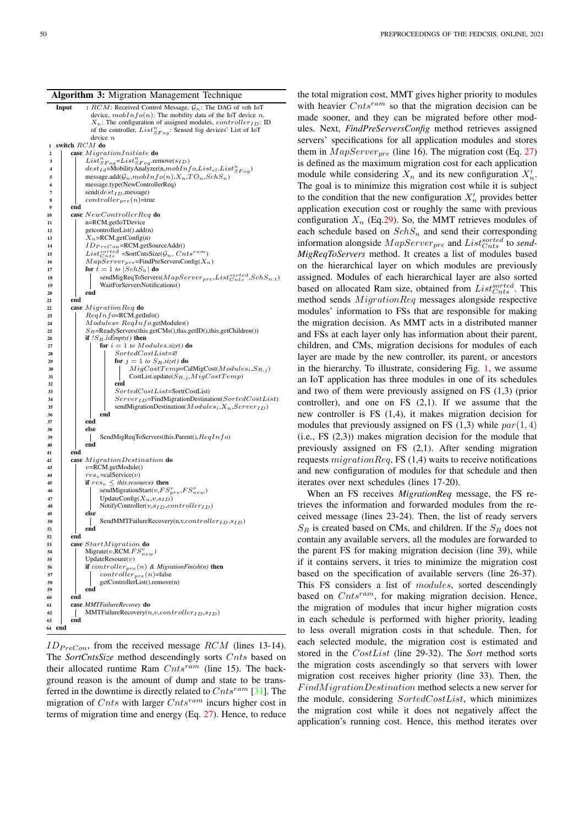



 $ID_{PreCon}$ , from the received message RCM (lines 13-14). The *SortCntsSize* method descendingly sorts Cnts based on their allocated runtime Ram  $Cnts^{ram}$  (line 15). The background reason is the amount of dump and state to be transferred in the downtime is directly related to  $Cnts^{ram}$  [31]. The migration of Cnts with larger  $Cnts^{ram}$  incurs higher cost in terms of migration time and energy (Eq. 27). Hence, to reduce

the total migration cost, MMT gives higher priority to modules with heavier  $Cnts^{ram}$  so that the migration decision can be made sooner, and they can be migrated before other modules. Next, *FindPreServersConfig* method retrieves assigned servers' specifications for all application modules and stores them in  $MapServer_{pre}$  (line 16). The migration cost (Eq. 27) is defined as the maximum migration cost for each application module while considering  $X_n$  and its new configuration  $X'_n$ . The goal is to minimize this migration cost while it is subject to the condition that the new configuration  $X'_n$  provides better application execution cost or roughly the same with previous configuration  $X_n$  (Eq.29). So, the MMT retrieves modules of each schedule based on  $SchS_n$  and send their corresponding information alongside  $MapServer_{pre}$  and  $List^{sorted}_{Cnts}$  to *send-MigReqToServers* method. It creates a list of modules based on the hierarchical layer on which modules are previously assigned. Modules of each hierarchical layer are also sorted based on allocated Ram size, obtained from  $List_{Cnts}^{sorted}$ . This method sends  $MigrationReg$  messages alongside respective modules' information to FSs that are responsible for making the migration decision. As MMT acts in a distributed manner and FSs at each layer only has information about their parent, children, and CMs, migration decisions for modules of each layer are made by the new controller, its parent, or ancestors in the hierarchy. To illustrate, considering Fig. 1, we assume an IoT application has three modules in one of its schedules and two of them were previously assigned on FS (1,3) (prior controller), and one on FS  $(2,1)$ . If we assume that the new controller is FS (1,4), it makes migration decision for modules that previously assigned on FS  $(1,3)$  while  $par(1,4)$ (i.e., FS (2,3)) makes migration decision for the module that previously assigned on FS (2,1). After sending migration requests  $migrationReg$ , FS (1,4) waits to receive notifications and new configuration of modules for that schedule and then iterates over next schedules (lines 17-20).

When an FS receives *MigrationReq* message, the FS retrieves the information and forwarded modules from the received message (lines 23-24). Then, the list of ready servers  $S_R$  is created based on CMs, and children. If the  $S_R$  does not contain any available servers, all the modules are forwarded to the parent FS for making migration decision (line 39), while if it contains servers, it tries to minimize the migration cost based on the specification of available servers (line 26-37). This FS considers a list of modules, sorted descendingly based on  $Cnts^{ram}$ , for making migration decision. Hence, the migration of modules that incur higher migration costs in each schedule is performed with higher priority, leading to less overall migration costs in that schedule. Then, for each selected module, the migration cost is estimated and stored in the CostList (line 29-32). The *Sort* method sorts the migration costs ascendingly so that servers with lower migration cost receives higher priority (line 33). Then, the FindMigrationDestination method selects a new server for the module, considering  $SortedCostList$ , which minimizes the migration cost while it does not negatively affect the application's running cost. Hence, this method iterates over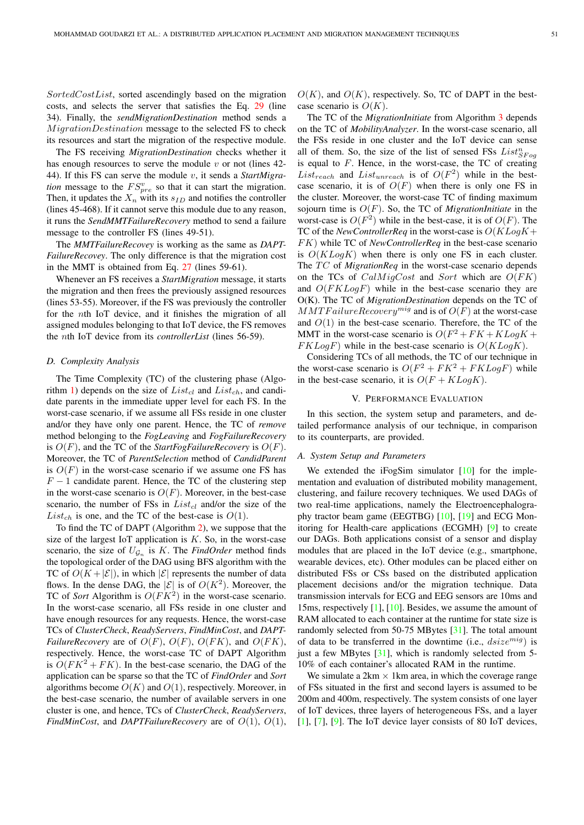SortedCostList, sorted ascendingly based on the migration costs, and selects the server that satisfies the Eq. 29 (line 34). Finally, the *sendMigrationDestination* method sends a MigrationDestination message to the selected FS to check its resources and start the migration of the respective module.

The FS receiving *MigrationDestination* checks whether it has enough resources to serve the module  $v$  or not (lines 42-44). If this FS can serve the module v, it sends a *StartMigration* message to the  $FS_{pre}^v$  so that it can start the migration. Then, it updates the  $X_n$  with its  $s_{ID}$  and notifies the controller (lines 45-468). If it cannot serve this module due to any reason, it runs the *SendMMTFailureRecovery* method to send a failure message to the controller FS (lines 49-51).

The *MMTFailureRecovey* is working as the same as *DAPT-FailureRecovey*. The only difference is that the migration cost in the MMT is obtained from Eq. 27 (lines 59-61).

Whenever an FS receives a *StartMigration* message, it starts the migration and then frees the previously assigned resources (lines 53-55). Moreover, if the FS was previously the controller for the nth IoT device, and it finishes the migration of all assigned modules belonging to that IoT device, the FS removes the nth IoT device from its *controllerList* (lines 56-59).

#### *D. Complexity Analysis*

The Time Complexity (TC) of the clustering phase (Algorithm 1) depends on the size of  $List_{cl}$  and  $List_{ch}$ , and candidate parents in the immediate upper level for each FS. In the worst-case scenario, if we assume all FSs reside in one cluster and/or they have only one parent. Hence, the TC of *remove* method belonging to the *FogLeaving* and *FogFailureRecovery* is  $O(F)$ , and the TC of the *StartFogFailureRecovery* is  $O(F)$ . Moreover, the TC of *ParentSelection* method of *CandidParent* is  $O(F)$  in the worst-case scenario if we assume one FS has  $F - 1$  candidate parent. Hence, the TC of the clustering step in the worst-case scenario is  $O(F)$ . Moreover, in the best-case scenario, the number of FSs in  $List_{cl}$  and/or the size of the List<sub>ch</sub> is one, and the TC of the best-case is  $O(1)$ .

To find the TC of DAPT (Algorithm 2), we suppose that the size of the largest IoT application is  $K$ . So, in the worst-case scenario, the size of  $U_{\mathcal{G}_n}$  is K. The *FindOrder* method finds the topological order of the DAG using BFS algorithm with the TC of  $O(K + |\mathcal{E}|)$ , in which  $|\mathcal{E}|$  represents the number of data flows. In the dense DAG, the  $|\mathcal{E}|$  is of  $O(K^2)$ . Moreover, the TC of *Sort* Algorithm is  $O(FK^2)$  in the worst-case scenario. In the worst-case scenario, all FSs reside in one cluster and have enough resources for any requests. Hence, the worst-case TCs of *ClusterCheck*, *ReadyServers*, *FindMinCost*, and *DAPT-FailureRecovery* are of  $O(F)$ ,  $O(F)$ ,  $O(FK)$ , and  $O(FK)$ , respectively. Hence, the worst-case TC of DAPT Algorithm is  $O(FK^2 + FK)$ . In the best-case scenario, the DAG of the application can be sparse so that the TC of *FindOrder* and *Sort* algorithms become  $O(K)$  and  $O(1)$ , respectively. Moreover, in the best-case scenario, the number of available servers in one cluster is one, and hence, TCs of *ClusterCheck*, *ReadyServers*, *FindMinCost*, and *DAPTFailureRecovery* are of O(1), O(1),

 $O(K)$ , and  $O(K)$ , respectively. So, TC of DAPT in the bestcase scenario is  $O(K)$ .

The TC of the *MigrationInitiate* from Algorithm 3 depends on the TC of *MobilityAnalyzer*. In the worst-case scenario, all the FSs reside in one cluster and the IoT device can sense all of them. So, the size of the list of sensed FSs  $List^{n}_{SFog}$ is equal to  $F$ . Hence, in the worst-case, the TC of creating List<sub>reach</sub> and List<sub>unreach</sub> is of  $O(F^2)$  while in the bestcase scenario, it is of  $O(F)$  when there is only one FS in the cluster. Moreover, the worst-case TC of finding maximum sojourn time is O(F). So, the TC of *MigrationInitiate* in the worst-case is  $O(F^2)$  while in the best-case, it is of  $O(F)$ . The TC of the *NewControllerReq* in the worst-case is  $O(KLog K +$ FK) while TC of *NewControllerReq* in the best-case scenario is  $O(KLog K)$  when there is only one FS in each cluster. The TC of *MigrationReq* in the worst-case scenario depends on the TCs of  $CalMigCost$  and Sort which are  $O(FK)$ and  $O(FKLogF)$  while in the best-case scenario they are O(K). The TC of *MigrationDestination* depends on the TC of  $MMTF a i lure Recovery^{mig}$  and is of  $O(F)$  at the worst-case and  $O(1)$  in the best-case scenario. Therefore, the TC of the MMT in the worst-case scenario is  $O(F^2 + FK + KLogK +$  $FKLogF$ ) while in the best-case scenario is  $O(KLogK)$ .

Considering TCs of all methods, the TC of our technique in the worst-case scenario is  $O(F^2 + FK^2 + FKLogF)$  while in the best-case scenario, it is  $O(F + KLogK)$ .

#### V. PERFORMANCE EVALUATION

In this section, the system setup and parameters, and detailed performance analysis of our technique, in comparison to its counterparts, are provided.

# *A. System Setup and Parameters*

We extended the iFogSim simulator [10] for the implementation and evaluation of distributed mobility management, clustering, and failure recovery techniques. We used DAGs of two real-time applications, namely the Electroencephalography tractor beam game (EEGTBG) [10], [19] and ECG Monitoring for Health-care applications (ECGMH) [9] to create our DAGs. Both applications consist of a sensor and display modules that are placed in the IoT device (e.g., smartphone, wearable devices, etc). Other modules can be placed either on distributed FSs or CSs based on the distributed application placement decisions and/or the migration technique. Data transmission intervals for ECG and EEG sensors are 10ms and 15ms, respectively [1], [10]. Besides, we assume the amount of RAM allocated to each container at the runtime for state size is randomly selected from 50-75 MBytes [31]. The total amount of data to be transferred in the downtime (i.e.,  $disize^{mig}$ ) is just a few MBytes [31], which is randomly selected from 5-10% of each container's allocated RAM in the runtime.

We simulate a  $2km \times 1km$  area, in which the coverage range of FSs situated in the first and second layers is assumed to be 200m and 400m, respectively. The system consists of one layer of IoT devices, three layers of heterogeneous FSs, and a layer [1], [7], [9]. The IoT device layer consists of 80 IoT devices,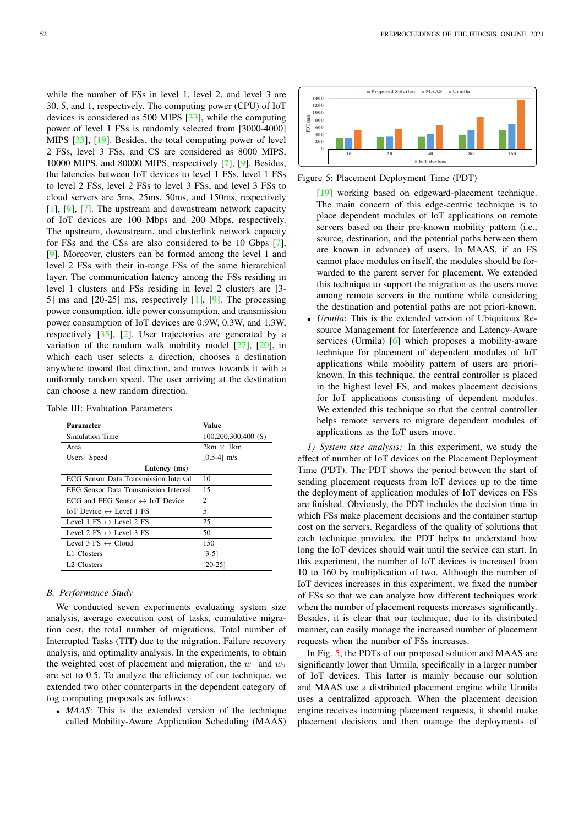while the number of FSs in level 1, level 2, and level 3 are 30, 5, and 1, respectively. The computing power (CPU) of IoT devices is considered as 500 MIPS [33], while the computing power of level 1 FSs is randomly selected from [3000-4000] MIPS [33], [19]. Besides, the total computing power of level 2 FSs, level 3 FSs, and CS are considered as 8000 MIPS, 10000 MIPS, and 80000 MIPS, respectively [7], [9]. Besides, the latencies between IoT devices to level 1 FSs, level 1 FSs to level 2 FSs, level 2 FSs to level 3 FSs, and level 3 FSs to cloud servers are 5ms, 25ms, 50ms, and 150ms, respectively [1], [9], [7]. The upstream and downstream network capacity of IoT devices are 100 Mbps and 200 Mbps, respectively. The upstream, downstream, and clusterlink network capacity for FSs and the CSs are also considered to be 10 Gbps [7], [9]. Moreover, clusters can be formed among the level 1 and level 2 FSs with their in-range FSs of the same hierarchical layer. The communication latency among the FSs residing in level 1 clusters and FSs residing in level 2 clusters are [3- 5] ms and [20-25] ms, respectively [1], [9]. The processing power consumption, idle power consumption, and transmission power consumption of IoT devices are 0.9W, 0.3W, and 1.3W, respectively [35], [2]. User trajectories are generated by a variation of the random walk mobility model [27], [20], in which each user selects a direction, chooses a destination anywhere toward that direction, and moves towards it with a uniformly random speed. The user arriving at the destination can choose a new random direction.

| Table III: Evaluation Parameters |  |
|----------------------------------|--|
|----------------------------------|--|

| Value               |
|---------------------|
| 100,200,300,400 (S) |
| $2km \times 1km$    |
| $[0.5-4]$ m/s       |
|                     |
| 10                  |
| 15                  |
| 2                   |
| 5                   |
| 25                  |
| 50                  |
| 150                 |
| $[3-5]$             |
| $[20-25]$           |
|                     |

#### *B. Performance Study*

We conducted seven experiments evaluating system size analysis, average execution cost of tasks, cumulative migration cost, the total number of migrations, Total number of Interrupted Tasks (TIT) due to the migration, Failure recovery analysis, and optimality analysis. In the experiments, to obtain the weighted cost of placement and migration, the  $w_1$  and  $w_2$ are set to 0.5. To analyze the efficiency of our technique, we extended two other counterparts in the dependent category of fog computing proposals as follows:

• *MAAS*: This is the extended version of the technique called Mobility-Aware Application Scheduling (MAAS)



Figure 5: Placement Deployment Time (PDT)

- [19] working based on edgeward-placement technique. The main concern of this edge-centric technique is to place dependent modules of IoT applications on remote servers based on their pre-known mobility pattern (i.e., source, destination, and the potential paths between them are known in advance) of users. In MAAS, if an FS cannot place modules on itself, the modules should be forwarded to the parent server for placement. We extended this technique to support the migration as the users move among remote servers in the runtime while considering the destination and potential paths are not priori-known.
- *Urmila*: This is the extended version of Ubiquitous Resource Management for Interference and Latency-Aware services (Urmila) [6] which proposes a mobility-aware technique for placement of dependent modules of IoT applications while mobility pattern of users are prioriknown. In this technique, the central controller is placed in the highest level FS, and makes placement decisions for IoT applications consisting of dependent modules. We extended this technique so that the central controller helps remote servers to migrate dependent modules of applications as the IoT users move.

*1) System size analysis:* In this experiment, we study the effect of number of IoT devices on the Placement Deployment Time (PDT). The PDT shows the period between the start of sending placement requests from IoT devices up to the time the deployment of application modules of IoT devices on FSs are finished. Obviously, the PDT includes the decision time in which FSs make placement decisions and the container startup cost on the servers. Regardless of the quality of solutions that each technique provides, the PDT helps to understand how long the IoT devices should wait until the service can start. In this experiment, the number of IoT devices is increased from 10 to 160 by multiplication of two. Although the number of IoT devices increases in this experiment, we fixed the number of FSs so that we can analyze how different techniques work when the number of placement requests increases significantly. Besides, it is clear that our technique, due to its distributed manner, can easily manage the increased number of placement requests when the number of FSs increases.

In Fig. 5, the PDTs of our proposed solution and MAAS are significantly lower than Urmila, specifically in a larger number of IoT devices. This latter is mainly because our solution and MAAS use a distributed placement engine while Urmila uses a centralized approach. When the placement decision engine receives incoming placement requests, it should make placement decisions and then manage the deployments of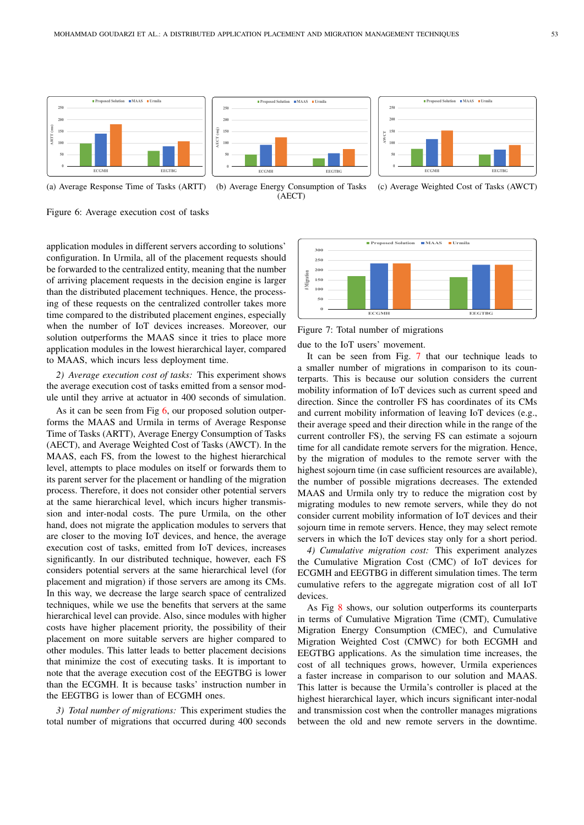





(a) Average Response Time of Tasks (ARTT)



(c) Average Weighted Cost of Tasks (AWCT)

Figure 6: Average execution cost of tasks

application modules in different servers according to solutions' configuration. In Urmila, all of the placement requests should be forwarded to the centralized entity, meaning that the number of arriving placement requests in the decision engine is larger than the distributed placement techniques. Hence, the processing of these requests on the centralized controller takes more time compared to the distributed placement engines, especially when the number of IoT devices increases. Moreover, our solution outperforms the MAAS since it tries to place more application modules in the lowest hierarchical layer, compared to MAAS, which incurs less deployment time.

*2) Average execution cost of tasks:* This experiment shows the average execution cost of tasks emitted from a sensor module until they arrive at actuator in 400 seconds of simulation.

As it can be seen from Fig 6, our proposed solution outperforms the MAAS and Urmila in terms of Average Response Time of Tasks (ARTT), Average Energy Consumption of Tasks (AECT), and Average Weighted Cost of Tasks (AWCT). In the MAAS, each FS, from the lowest to the highest hierarchical level, attempts to place modules on itself or forwards them to its parent server for the placement or handling of the migration process. Therefore, it does not consider other potential servers at the same hierarchical level, which incurs higher transmission and inter-nodal costs. The pure Urmila, on the other hand, does not migrate the application modules to servers that are closer to the moving IoT devices, and hence, the average execution cost of tasks, emitted from IoT devices, increases significantly. In our distributed technique, however, each FS considers potential servers at the same hierarchical level (for placement and migration) if those servers are among its CMs. In this way, we decrease the large search space of centralized techniques, while we use the benefits that servers at the same hierarchical level can provide. Also, since modules with higher costs have higher placement priority, the possibility of their placement on more suitable servers are higher compared to other modules. This latter leads to better placement decisions that minimize the cost of executing tasks. It is important to note that the average execution cost of the EEGTBG is lower than the ECGMH. It is because tasks' instruction number in the EEGTBG is lower than of ECGMH ones.

*3) Total number of migrations:* This experiment studies the total number of migrations that occurred during 400 seconds



Figure 7: Total number of migrations

due to the IoT users' movement.

It can be seen from Fig. 7 that our technique leads to a smaller number of migrations in comparison to its counterparts. This is because our solution considers the current mobility information of IoT devices such as current speed and direction. Since the controller FS has coordinates of its CMs and current mobility information of leaving IoT devices (e.g., their average speed and their direction while in the range of the current controller FS), the serving FS can estimate a sojourn time for all candidate remote servers for the migration. Hence, by the migration of modules to the remote server with the highest sojourn time (in case sufficient resources are available), the number of possible migrations decreases. The extended MAAS and Urmila only try to reduce the migration cost by migrating modules to new remote servers, while they do not consider current mobility information of IoT devices and their sojourn time in remote servers. Hence, they may select remote servers in which the IoT devices stay only for a short period.

*4) Cumulative migration cost:* This experiment analyzes the Cumulative Migration Cost (CMC) of IoT devices for ECGMH and EEGTBG in different simulation times. The term cumulative refers to the aggregate migration cost of all IoT devices

As Fig 8 shows, our solution outperforms its counterparts in terms of Cumulative Migration Time (CMT), Cumulative Migration Energy Consumption (CMEC), and Cumulative Migration Weighted Cost (CMWC) for both ECGMH and EEGTBG applications. As the simulation time increases, the cost of all techniques grows, however, Urmila experiences a faster increase in comparison to our solution and MAAS. This latter is because the Urmila's controller is placed at the highest hierarchical layer, which incurs significant inter-nodal and transmission cost when the controller manages migrations between the old and new remote servers in the downtime.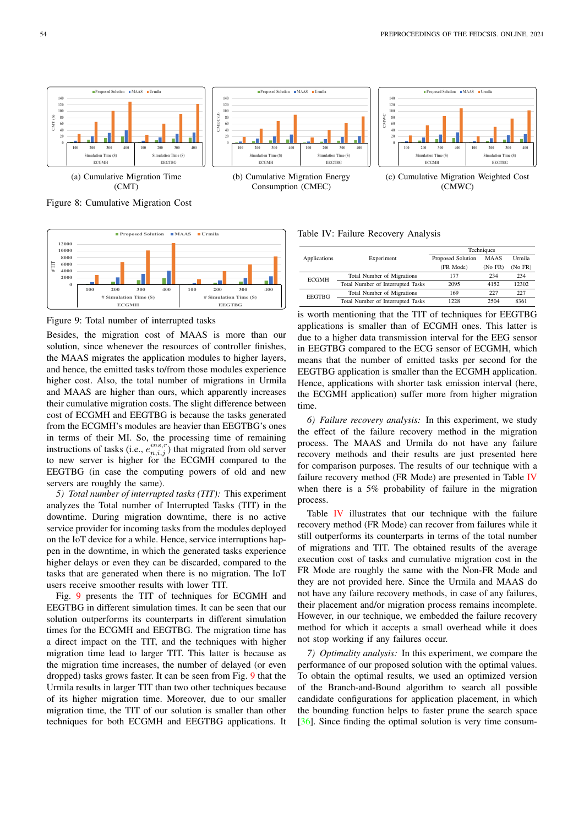

Figure 8: Cumulative Migration Cost



Figure 9: Total number of interrupted tasks

Besides, the migration cost of MAAS is more than our solution, since whenever the resources of controller finishes, the MAAS migrates the application modules to higher layers, and hence, the emitted tasks to/from those modules experience higher cost. Also, the total number of migrations in Urmila and MAAS are higher than ours, which apparently increases their cumulative migration costs. The slight difference between cost of ECGMH and EEGTBG is because the tasks generated from the ECGMH's modules are heavier than EEGTBG's ones in terms of their MI. So, the processing time of remaining instructions of tasks (i.e.,  $e_{n,i,j}^{ins,r}$ ) that migrated from old server to new server is higher for the ECGMH compared to the EEGTBG (in case the computing powers of old and new servers are roughly the same).

*5) Total number of interrupted tasks (TIT):* This experiment analyzes the Total number of Interrupted Tasks (TIT) in the downtime. During migration downtime, there is no active service provider for incoming tasks from the modules deployed on the IoT device for a while. Hence, service interruptions happen in the downtime, in which the generated tasks experience higher delays or even they can be discarded, compared to the tasks that are generated when there is no migration. The IoT users receive smoother results with lower TIT.

Fig. 9 presents the TIT of techniques for ECGMH and EEGTBG in different simulation times. It can be seen that our solution outperforms its counterparts in different simulation times for the ECGMH and EEGTBG. The migration time has a direct impact on the TIT, and the techniques with higher migration time lead to larger TIT. This latter is because as the migration time increases, the number of delayed (or even dropped) tasks grows faster. It can be seen from Fig. 9 that the Urmila results in larger TIT than two other techniques because of its higher migration time. Moreover, due to our smaller migration time, the TIT of our solution is smaller than other techniques for both ECGMH and EEGTBG applications. It



(b) Cumulative Migration Energy Consumption (CMEC)



(c) Cumulative Migration Weighted Cost (CMWC)

Table IV: Failure Recovery Analysis

|               |                                   | Techniques        |             |         |  |
|---------------|-----------------------------------|-------------------|-------------|---------|--|
| Applications  | Experiment                        | Proposed Solution | <b>MAAS</b> | Urmila  |  |
|               |                                   | (FR Mode)         | (No FR)     | (No FR) |  |
| <b>ECGMH</b>  | Total Number of Migrations        | 177               | 234         | 234     |  |
|               | Total Number of Interrupted Tasks | 2095              | 4152        | 12302   |  |
| <b>EEGTBG</b> | Total Number of Migrations        | 169               | 227         | 227     |  |
|               | Total Number of Interrupted Tasks | 1228              | 2504        | 8361    |  |

is worth mentioning that the TIT of techniques for EEGTBG applications is smaller than of ECGMH ones. This latter is due to a higher data transmission interval for the EEG sensor in EEGTBG compared to the ECG sensor of ECGMH, which means that the number of emitted tasks per second for the EEGTBG application is smaller than the ECGMH application. Hence, applications with shorter task emission interval (here, the ECGMH application) suffer more from higher migration time.

*6) Failure recovery analysis:* In this experiment, we study the effect of the failure recovery method in the migration process. The MAAS and Urmila do not have any failure recovery methods and their results are just presented here for comparison purposes. The results of our technique with a failure recovery method (FR Mode) are presented in Table IV when there is a 5% probability of failure in the migration process.

Table IV illustrates that our technique with the failure recovery method (FR Mode) can recover from failures while it still outperforms its counterparts in terms of the total number of migrations and TIT. The obtained results of the average execution cost of tasks and cumulative migration cost in the FR Mode are roughly the same with the Non-FR Mode and they are not provided here. Since the Urmila and MAAS do not have any failure recovery methods, in case of any failures, their placement and/or migration process remains incomplete. However, in our technique, we embedded the failure recovery method for which it accepts a small overhead while it does not stop working if any failures occur.

*7) Optimality analysis:* In this experiment, we compare the performance of our proposed solution with the optimal values. To obtain the optimal results, we used an optimized version of the Branch-and-Bound algorithm to search all possible candidate configurations for application placement, in which the bounding function helps to faster prune the search space [36]. Since finding the optimal solution is very time consum-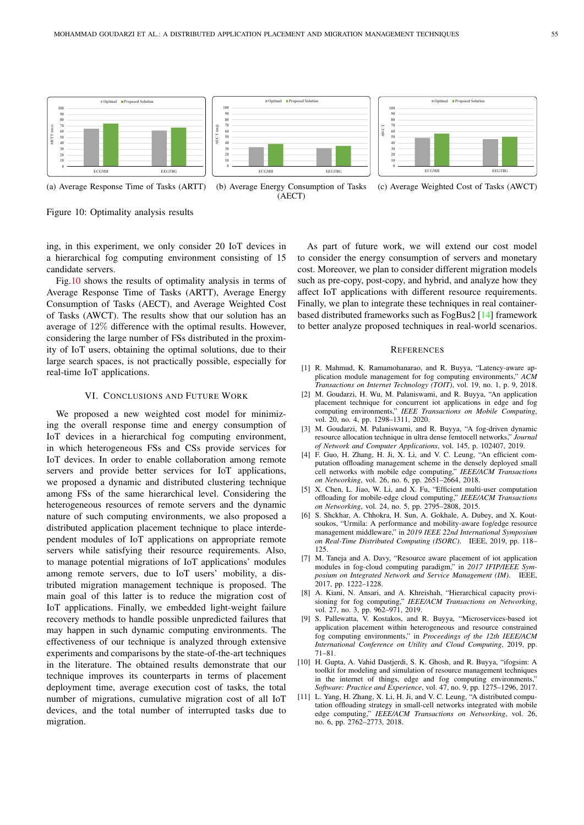





(a) Average Response Time of Tasks (ARTT)



(c) Average Weighted Cost of Tasks (AWCT)

Figure 10: Optimality analysis results

ing, in this experiment, we only consider 20 IoT devices in a hierarchical fog computing environment consisting of 15 candidate servers.

Fig.10 shows the results of optimality analysis in terms of Average Response Time of Tasks (ARTT), Average Energy Consumption of Tasks (AECT), and Average Weighted Cost of Tasks (AWCT). The results show that our solution has an average of 12% difference with the optimal results. However, considering the large number of FSs distributed in the proximity of IoT users, obtaining the optimal solutions, due to their large search spaces, is not practically possible, especially for real-time IoT applications.

# VI. CONCLUSIONS AND FUTURE WORK

We proposed a new weighted cost model for minimizing the overall response time and energy consumption of IoT devices in a hierarchical fog computing environment, in which heterogeneous FSs and CSs provide services for IoT devices. In order to enable collaboration among remote servers and provide better services for IoT applications, we proposed a dynamic and distributed clustering technique among FSs of the same hierarchical level. Considering the heterogeneous resources of remote servers and the dynamic nature of such computing environments, we also proposed a distributed application placement technique to place interdependent modules of IoT applications on appropriate remote servers while satisfying their resource requirements. Also, to manage potential migrations of IoT applications' modules among remote servers, due to IoT users' mobility, a distributed migration management technique is proposed. The main goal of this latter is to reduce the migration cost of IoT applications. Finally, we embedded light-weight failure recovery methods to handle possible unpredicted failures that may happen in such dynamic computing environments. The effectiveness of our technique is analyzed through extensive experiments and comparisons by the state-of-the-art techniques in the literature. The obtained results demonstrate that our technique improves its counterparts in terms of placement deployment time, average execution cost of tasks, the total number of migrations, cumulative migration cost of all IoT devices, and the total number of interrupted tasks due to migration.

As part of future work, we will extend our cost model to consider the energy consumption of servers and monetary cost. Moreover, we plan to consider different migration models such as pre-copy, post-copy, and hybrid, and analyze how they affect IoT applications with different resource requirements. Finally, we plan to integrate these techniques in real containerbased distributed frameworks such as FogBus2 [14] framework to better analyze proposed techniques in real-world scenarios.

## **REFERENCES**

- [1] R. Mahmud, K. Ramamohanarao, and R. Buyya, "Latency-aware application module management for fog computing environments," *ACM Transactions on Internet Technology (TOIT)*, vol. 19, no. 1, p. 9, 2018.
- [2] M. Goudarzi, H. Wu, M. Palaniswami, and R. Buyya, "An application placement technique for concurrent iot applications in edge and fog computing environments," *IEEE Transactions on Mobile Computing*, vol. 20, no. 4, pp. 1298–1311, 2020.
- [3] M. Goudarzi, M. Palaniswami, and R. Buyya, "A fog-driven dynamic resource allocation technique in ultra dense femtocell networks," *Journal of Network and Computer Applications*, vol. 145, p. 102407, 2019.
- [4] F. Guo, H. Zhang, H. Ji, X. Li, and V. C. Leung, "An efficient computation offloading management scheme in the densely deployed small cell networks with mobile edge computing," *IEEE/ACM Transactions on Networking*, vol. 26, no. 6, pp. 2651–2664, 2018.
- [5] X. Chen, L. Jiao, W. Li, and X. Fu, "Efficient multi-user computation offloading for mobile-edge cloud computing," *IEEE/ACM Transactions on Networking*, vol. 24, no. 5, pp. 2795–2808, 2015.
- [6] S. Shckhar, A. Chhokra, H. Sun, A. Gokhale, A. Dubey, and X. Koutsoukos, "Urmila: A performance and mobility-aware fog/edge resource management middleware," in *2019 IEEE 22nd International Symposium on Real-Time Distributed Computing (ISORC)*. IEEE, 2019, pp. 118– 125.
- [7] M. Taneja and A. Davy, "Resource aware placement of iot application modules in fog-cloud computing paradigm," in *2017 IFIP/IEEE Symposium on Integrated Network and Service Management (IM)*. IEEE, 2017, pp. 1222–1228.
- [8] A. Kiani, N. Ansari, and A. Khreishah, "Hierarchical capacity provisioning for fog computing," *IEEE/ACM Transactions on Networking*, vol. 27, no. 3, pp. 962–971, 2019.
- [9] S. Pallewatta, V. Kostakos, and R. Buyya, "Microservices-based iot application placement within heterogeneous and resource constrained fog computing environments," in *Proceedings of the 12th IEEE/ACM International Conference on Utility and Cloud Computing*, 2019, pp. 71–81.
- [10] H. Gupta, A. Vahid Dastjerdi, S. K. Ghosh, and R. Buyya, "ifogsim: A toolkit for modeling and simulation of resource management techniques in the internet of things, edge and fog computing environments," *Software: Practice and Experience*, vol. 47, no. 9, pp. 1275–1296, 2017.
- [11] L. Yang, H. Zhang, X. Li, H. Ji, and V. C. Leung, "A distributed computation offloading strategy in small-cell networks integrated with mobile edge computing," *IEEE/ACM Transactions on Networking*, vol. 26, no. 6, pp. 2762–2773, 2018.